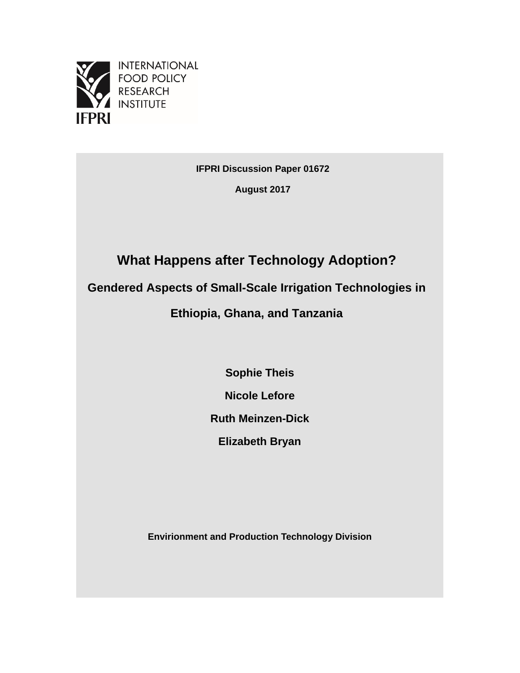

**FOOD POLICY RESEARCH INSTITUTE** 

**IFPRI Discussion Paper 01672**

**August 2017**

# **What Happens after Technology Adoption?**

**Gendered Aspects of Small-Scale Irrigation Technologies in** 

**Ethiopia, Ghana, and Tanzania**

**Sophie Theis**

**Nicole Lefore**

**Ruth Meinzen-Dick**

**Elizabeth Bryan**

**Envirionment and Production Technology Division**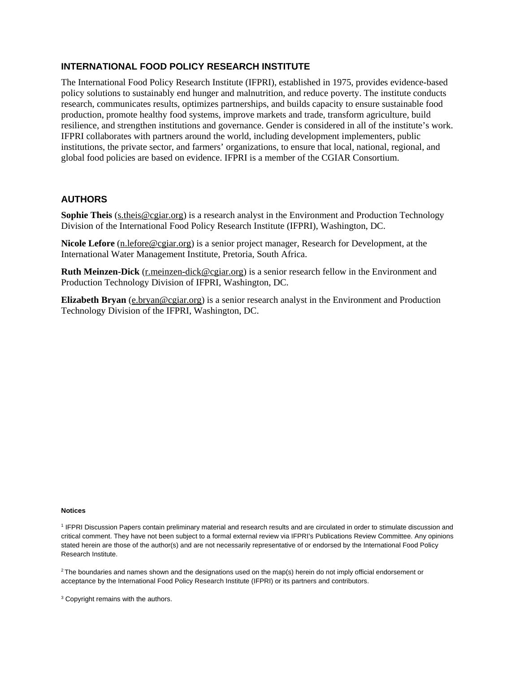### **INTERNATIONAL FOOD POLICY RESEARCH INSTITUTE**

The International Food Policy Research Institute (IFPRI), established in 1975, provides evidence-based policy solutions to sustainably end hunger and malnutrition, and reduce poverty. The institute conducts research, communicates results, optimizes partnerships, and builds capacity to ensure sustainable food production, promote healthy food systems, improve markets and trade, transform agriculture, build resilience, and strengthen institutions and governance. Gender is considered in all of the institute's work. IFPRI collaborates with partners around the world, including development implementers, public institutions, the private sector, and farmers' organizations, to ensure that local, national, regional, and global food policies are based on evidence. IFPRI is a member of the CGIAR Consortium.

#### **AUTHORS**

**Sophie Theis** (s.theis@cgiar.org) is a research analyst in the Environment and Production Technology Division of the International Food Policy Research Institute (IFPRI), Washington, DC.

**Nicole Lefore** (n.lefore@cgiar.org) is a senior project manager, Research for Development, at the International Water Management Institute, Pretoria, South Africa.

**Ruth Meinzen-Dick** (r.meinzen-dick@cgiar.org) is a senior research fellow in the Environment and Production Technology Division of IFPRI, Washington, DC.

**Elizabeth Bryan** (e.bryan@cgiar.org) is a senior research analyst in the Environment and Production Technology Division of the IFPRI, Washington, DC.

#### **Notices**

<sup>1</sup> IFPRI Discussion Papers contain preliminary material and research results and are circulated in order to stimulate discussion and critical comment. They have not been subject to a formal external review via IFPRI's Publications Review Committee. Any opinions stated herein are those of the author(s) and are not necessarily representative of or endorsed by the International Food Policy Research Institute.

 $2$ The boundaries and names shown and the designations used on the map(s) herein do not imply official endorsement or acceptance by the International Food Policy Research Institute (IFPRI) or its partners and contributors.

<sup>3</sup> Copyright remains with the authors.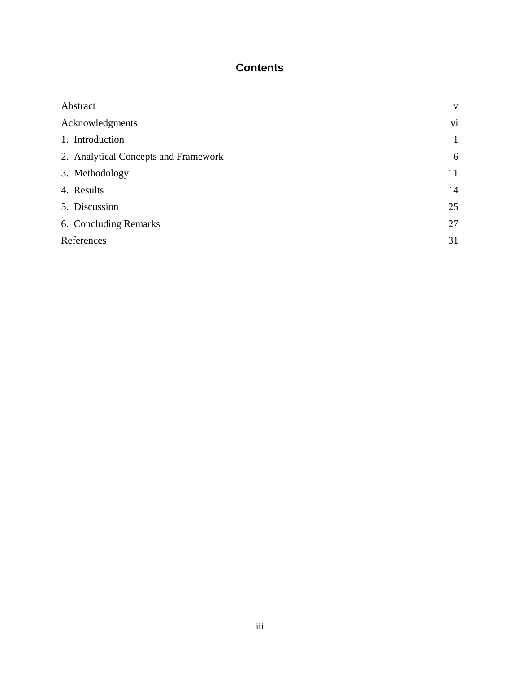# **Contents**

| Abstract                             | V            |
|--------------------------------------|--------------|
| Acknowledgments                      | vi           |
| 1. Introduction                      | $\mathbf{1}$ |
| 2. Analytical Concepts and Framework | 6            |
| 3. Methodology                       | 11           |
| 4. Results                           | 14           |
| 5. Discussion                        | 25           |
| 6. Concluding Remarks                | 27           |
| References                           | 31           |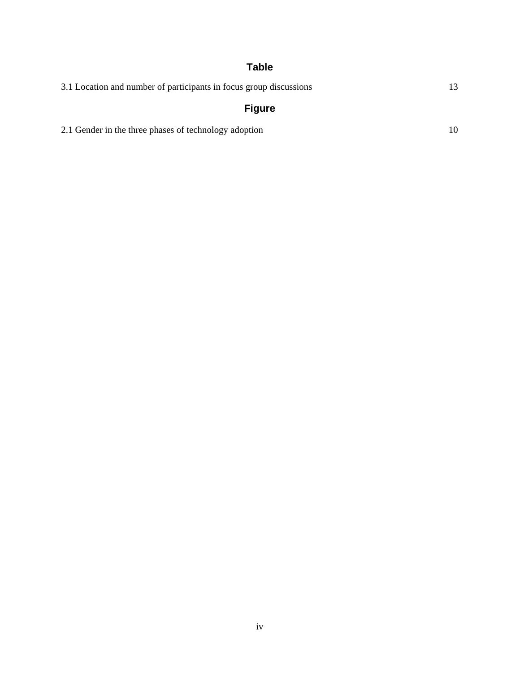# **Table**

| 3.1 Location and number of participants in focus group discussions |  |
|--------------------------------------------------------------------|--|
| <b>Figure</b>                                                      |  |

2.1 [Gender in the three phases of technology adoption 10](#page-15-0)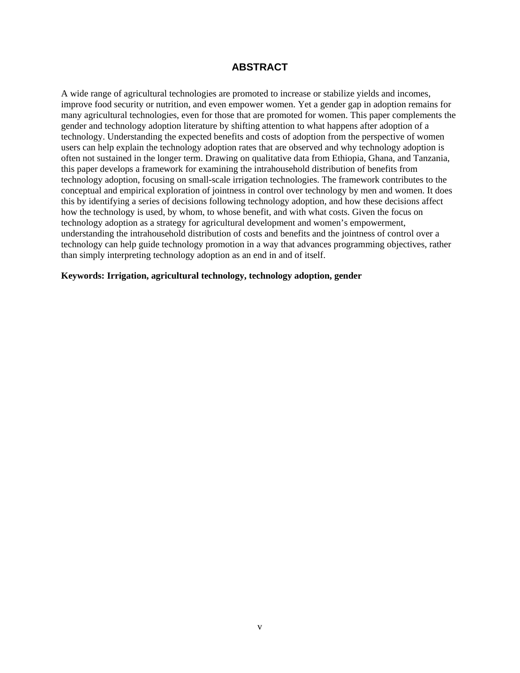## <span id="page-4-0"></span>**ABSTRACT**

A wide range of agricultural technologies are promoted to increase or stabilize yields and incomes, improve food security or nutrition, and even empower women. Yet a gender gap in adoption remains for many agricultural technologies, even for those that are promoted for women. This paper complements the gender and technology adoption literature by shifting attention to what happens after adoption of a technology. Understanding the expected benefits and costs of adoption from the perspective of women users can help explain the technology adoption rates that are observed and why technology adoption is often not sustained in the longer term. Drawing on qualitative data from Ethiopia, Ghana, and Tanzania, this paper develops a framework for examining the intrahousehold distribution of benefits from technology adoption, focusing on small-scale irrigation technologies. The framework contributes to the conceptual and empirical exploration of jointness in control over technology by men and women. It does this by identifying a series of decisions following technology adoption, and how these decisions affect how the technology is used, by whom, to whose benefit, and with what costs. Given the focus on technology adoption as a strategy for agricultural development and women's empowerment, understanding the intrahousehold distribution of costs and benefits and the jointness of control over a technology can help guide technology promotion in a way that advances programming objectives, rather than simply interpreting technology adoption as an end in and of itself.

#### **Keywords: Irrigation, agricultural technology, technology adoption, gender**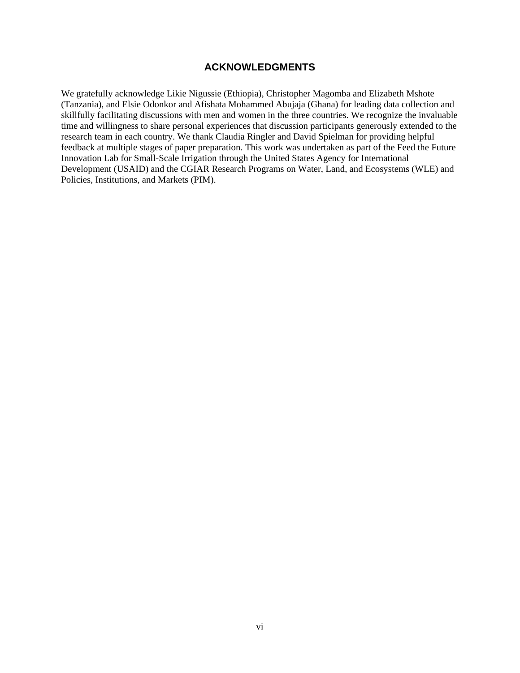### **ACKNOWLEDGMENTS**

<span id="page-5-0"></span>We gratefully acknowledge Likie Nigussie (Ethiopia), Christopher Magomba and Elizabeth Mshote (Tanzania), and Elsie Odonkor and Afishata Mohammed Abujaja (Ghana) for leading data collection and skillfully facilitating discussions with men and women in the three countries. We recognize the invaluable time and willingness to share personal experiences that discussion participants generously extended to the research team in each country. We thank Claudia Ringler and David Spielman for providing helpful feedback at multiple stages of paper preparation. This work was undertaken as part of the Feed the Future Innovation Lab for Small-Scale Irrigation through the United States Agency for International Development (USAID) and the CGIAR Research Programs on Water, Land, and Ecosystems (WLE) and Policies, Institutions, and Markets (PIM).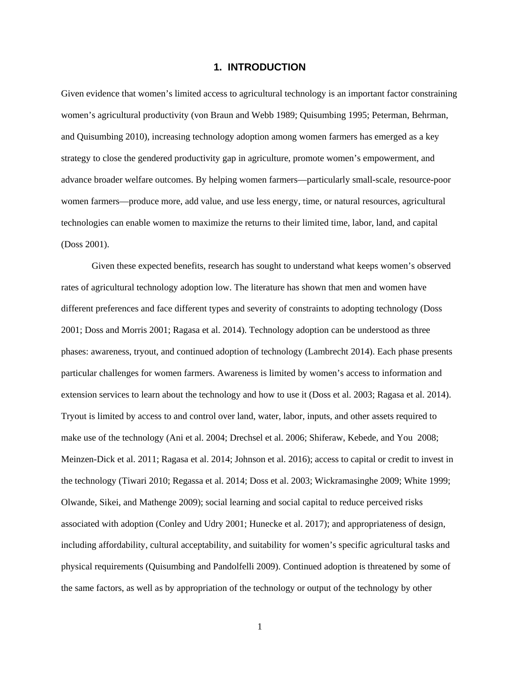#### **1. INTRODUCTION**

<span id="page-6-0"></span>Given evidence that women's limited access to agricultural technology is an important factor constraining women's agricultural productivity (von Braun and Webb 1989; Quisumbing 1995; Peterman, Behrman, and Quisumbing 2010), increasing technology adoption among women farmers has emerged as a key strategy to close the gendered productivity gap in agriculture, promote women's empowerment, and advance broader welfare outcomes. By helping women farmers—particularly small-scale, resource-poor women farmers—produce more, add value, and use less energy, time, or natural resources, agricultural technologies can enable women to maximize the returns to their limited time, labor, land, and capital (Doss 2001).

Given these expected benefits, research has sought to understand what keeps women's observed rates of agricultural technology adoption low. The literature has shown that men and women have different preferences and face different types and severity of constraints to adopting technology (Doss 2001; Doss and Morris 2001; Ragasa et al. 2014). Technology adoption can be understood as three phases: awareness, tryout, and continued adoption of technology (Lambrecht 2014). Each phase presents particular challenges for women farmers. Awareness is limited by women's access to information and extension services to learn about the technology and how to use it (Doss et al. 2003; Ragasa et al. 2014). Tryout is limited by access to and control over land, water, labor, inputs, and other assets required to make use of the technology (Ani et al. 2004; Drechsel et al. 2006; Shiferaw, Kebede, and You 2008; Meinzen-Dick et al. 2011; Ragasa et al. 2014; Johnson et al. 2016); access to capital or credit to invest in the technology (Tiwari 2010; Regassa et al. 2014; Doss et al. 2003; Wickramasinghe 2009; White 1999; Olwande, Sikei, and Mathenge 2009); social learning and social capital to reduce perceived risks associated with adoption (Conley and Udry 2001; Hunecke et al. 2017); and appropriateness of design, including affordability, cultural acceptability, and suitability for women's specific agricultural tasks and physical requirements (Quisumbing and Pandolfelli 2009). Continued adoption is threatened by some of the same factors, as well as by appropriation of the technology or output of the technology by other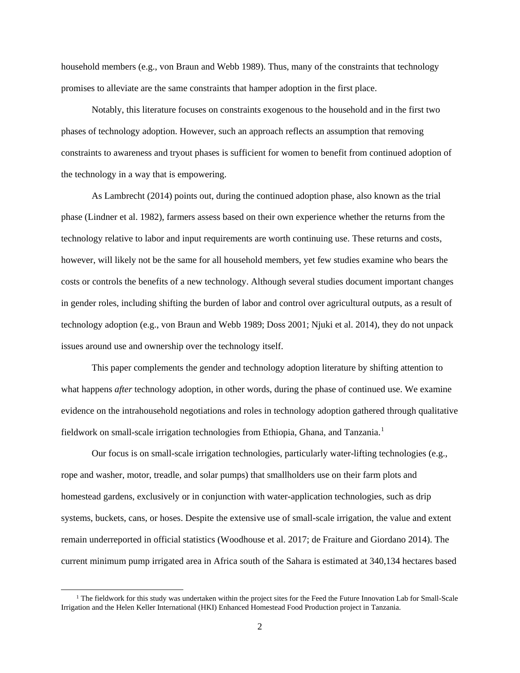household members (e.g., von Braun and Webb 1989). Thus, many of the constraints that technology promises to alleviate are the same constraints that hamper adoption in the first place.

Notably, this literature focuses on constraints exogenous to the household and in the first two phases of technology adoption. However, such an approach reflects an assumption that removing constraints to awareness and tryout phases is sufficient for women to benefit from continued adoption of the technology in a way that is empowering.

As Lambrecht (2014) points out, during the continued adoption phase, also known as the trial phase (Lindner et al. 1982), farmers assess based on their own experience whether the returns from the technology relative to labor and input requirements are worth continuing use. These returns and costs, however, will likely not be the same for all household members, yet few studies examine who bears the costs or controls the benefits of a new technology. Although several studies document important changes in gender roles, including shifting the burden of labor and control over agricultural outputs, as a result of technology adoption (e.g., von Braun and Webb 1989; Doss 2001; Njuki et al. 2014), they do not unpack issues around use and ownership over the technology itself.

This paper complements the gender and technology adoption literature by shifting attention to what happens *after* technology adoption, in other words, during the phase of continued use. We examine evidence on the intrahousehold negotiations and roles in technology adoption gathered through qualitative fieldwork on small-scale irrigation technologies from Ethiopia, Ghana, and Tanzania.[1](#page-7-0)

Our focus is on small-scale irrigation technologies, particularly water-lifting technologies (e.g., rope and washer, motor, treadle, and solar pumps) that smallholders use on their farm plots and homestead gardens, exclusively or in conjunction with water-application technologies, such as drip systems, buckets, cans, or hoses. Despite the extensive use of small-scale irrigation, the value and extent remain underreported in official statistics (Woodhouse et al. 2017; de Fraiture and Giordano 2014). The current minimum pump irrigated area in Africa south of the Sahara is estimated at 340,134 hectares based

<span id="page-7-0"></span> $1$  The fieldwork for this study was undertaken within the project sites for the Feed the Future Innovation Lab for Small-Scale Irrigation and the Helen Keller International (HKI) Enhanced Homestead Food Production project in Tanzania.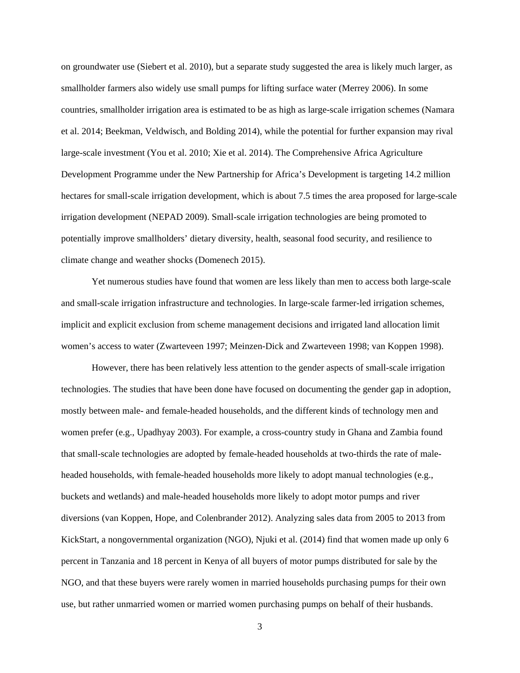on groundwater use (Siebert et al. 2010), but a separate study suggested the area is likely much larger, as smallholder farmers also widely use small pumps for lifting surface water (Merrey 2006). In some countries, smallholder irrigation area is estimated to be as high as large-scale irrigation schemes (Namara et al. 2014; Beekman, Veldwisch, and Bolding 2014), while the potential for further expansion may rival large-scale investment (You et al. 2010; Xie et al. 2014). The Comprehensive Africa Agriculture Development Programme under the New Partnership for Africa's Development is targeting 14.2 million hectares for small-scale irrigation development, which is about 7.5 times the area proposed for large-scale irrigation development (NEPAD 2009). Small-scale irrigation technologies are being promoted to potentially improve smallholders' dietary diversity, health, seasonal food security, and resilience to climate change and weather shocks (Domenech 2015).

Yet numerous studies have found that women are less likely than men to access both large-scale and small-scale irrigation infrastructure and technologies. In large-scale farmer-led irrigation schemes, implicit and explicit exclusion from scheme management decisions and irrigated land allocation limit women's access to water (Zwarteveen 1997; Meinzen-Dick and Zwarteveen 1998; van Koppen 1998).

However, there has been relatively less attention to the gender aspects of small-scale irrigation technologies. The studies that have been done have focused on documenting the gender gap in adoption, mostly between male- and female-headed households, and the different kinds of technology men and women prefer (e.g., Upadhyay 2003). For example, a cross-country study in Ghana and Zambia found that small-scale technologies are adopted by female-headed households at two-thirds the rate of maleheaded households, with female-headed households more likely to adopt manual technologies (e.g., buckets and wetlands) and male-headed households more likely to adopt motor pumps and river diversions (van Koppen, Hope, and Colenbrander 2012). Analyzing sales data from 2005 to 2013 from KickStart, a nongovernmental organization (NGO), Njuki et al. (2014) find that women made up only 6 percent in Tanzania and 18 percent in Kenya of all buyers of motor pumps distributed for sale by the NGO, and that these buyers were rarely women in married households purchasing pumps for their own use, but rather unmarried women or married women purchasing pumps on behalf of their husbands.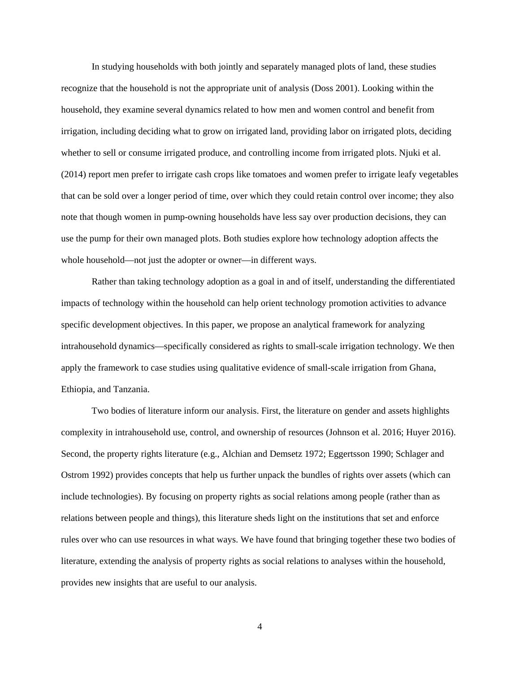In studying households with both jointly and separately managed plots of land, these studies recognize that the household is not the appropriate unit of analysis (Doss 2001). Looking within the household, they examine several dynamics related to how men and women control and benefit from irrigation, including deciding what to grow on irrigated land, providing labor on irrigated plots, deciding whether to sell or consume irrigated produce, and controlling income from irrigated plots. Njuki et al. (2014) report men prefer to irrigate cash crops like tomatoes and women prefer to irrigate leafy vegetables that can be sold over a longer period of time, over which they could retain control over income; they also note that though women in pump-owning households have less say over production decisions, they can use the pump for their own managed plots. Both studies explore how technology adoption affects the whole household—not just the adopter or owner—in different ways.

Rather than taking technology adoption as a goal in and of itself, understanding the differentiated impacts of technology within the household can help orient technology promotion activities to advance specific development objectives. In this paper, we propose an analytical framework for analyzing intrahousehold dynamics—specifically considered as rights to small-scale irrigation technology. We then apply the framework to case studies using qualitative evidence of small-scale irrigation from Ghana, Ethiopia, and Tanzania.

Two bodies of literature inform our analysis. First, the literature on gender and assets highlights complexity in intrahousehold use, control, and ownership of resources (Johnson et al. 2016; Huyer 2016). Second, the property rights literature (e.g., Alchian and Demsetz 1972; Eggertsson 1990; Schlager and Ostrom 1992) provides concepts that help us further unpack the bundles of rights over assets (which can include technologies). By focusing on property rights as social relations among people (rather than as relations between people and things), this literature sheds light on the institutions that set and enforce rules over who can use resources in what ways. We have found that bringing together these two bodies of literature, extending the analysis of property rights as social relations to analyses within the household, provides new insights that are useful to our analysis.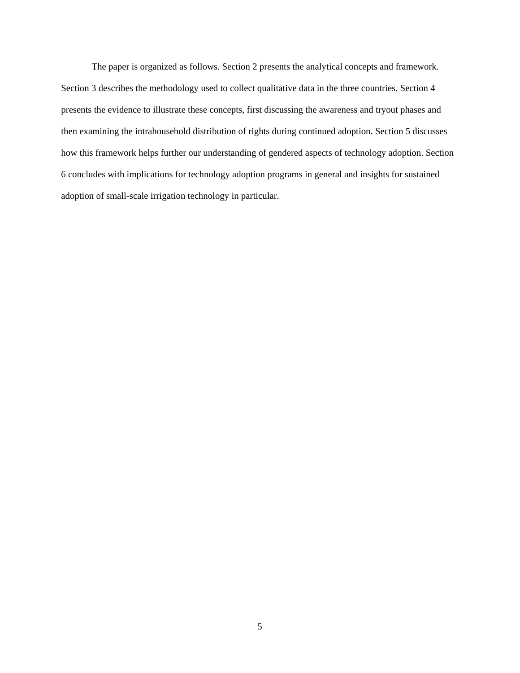The paper is organized as follows. Section 2 presents the analytical concepts and framework. Section 3 describes the methodology used to collect qualitative data in the three countries. Section 4 presents the evidence to illustrate these concepts, first discussing the awareness and tryout phases and then examining the intrahousehold distribution of rights during continued adoption. Section 5 discusses how this framework helps further our understanding of gendered aspects of technology adoption. Section 6 concludes with implications for technology adoption programs in general and insights for sustained adoption of small-scale irrigation technology in particular.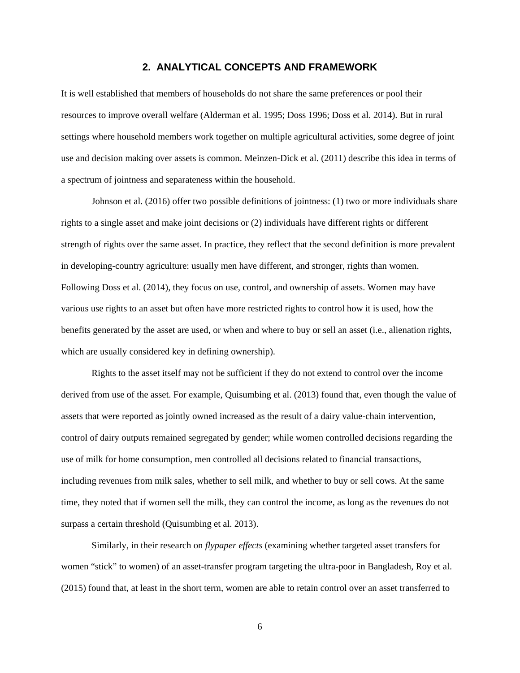#### **2. ANALYTICAL CONCEPTS AND FRAMEWORK**

<span id="page-11-0"></span>It is well established that members of households do not share the same preferences or pool their resources to improve overall welfare (Alderman et al. 1995; Doss 1996; Doss et al. 2014). But in rural settings where household members work together on multiple agricultural activities, some degree of joint use and decision making over assets is common. Meinzen-Dick et al. (2011) describe this idea in terms of a spectrum of jointness and separateness within the household.

Johnson et al. (2016) offer two possible definitions of jointness: (1) two or more individuals share rights to a single asset and make joint decisions or (2) individuals have different rights or different strength of rights over the same asset. In practice, they reflect that the second definition is more prevalent in developing-country agriculture: usually men have different, and stronger, rights than women. Following Doss et al. (2014), they focus on use, control, and ownership of assets. Women may have various use rights to an asset but often have more restricted rights to control how it is used, how the benefits generated by the asset are used, or when and where to buy or sell an asset (i.e., alienation rights, which are usually considered key in defining ownership).

Rights to the asset itself may not be sufficient if they do not extend to control over the income derived from use of the asset. For example, Quisumbing et al. (2013) found that, even though the value of assets that were reported as jointly owned increased as the result of a dairy value-chain intervention, control of dairy outputs remained segregated by gender; while women controlled decisions regarding the use of milk for home consumption, men controlled all decisions related to financial transactions, including revenues from milk sales, whether to sell milk, and whether to buy or sell cows. At the same time, they noted that if women sell the milk, they can control the income, as long as the revenues do not surpass a certain threshold (Quisumbing et al. 2013).

Similarly, in their research on *flypaper effects* (examining whether targeted asset transfers for women "stick" to women) of an asset-transfer program targeting the ultra-poor in Bangladesh, Roy et al. (2015) found that, at least in the short term, women are able to retain control over an asset transferred to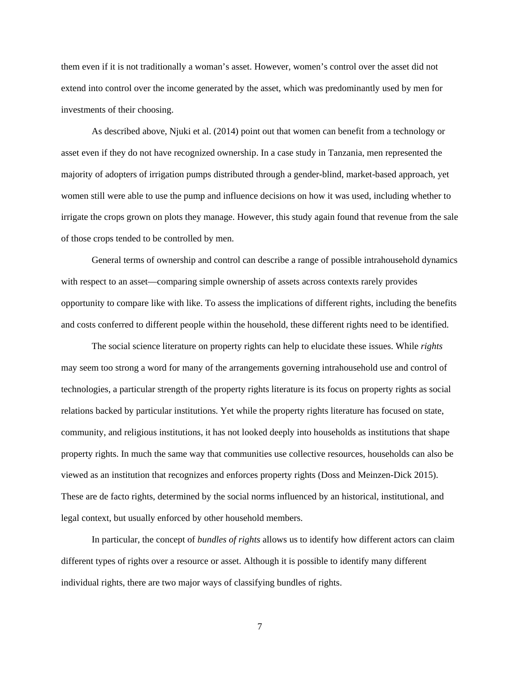them even if it is not traditionally a woman's asset. However, women's control over the asset did not extend into control over the income generated by the asset, which was predominantly used by men for investments of their choosing.

As described above, Njuki et al. (2014) point out that women can benefit from a technology or asset even if they do not have recognized ownership. In a case study in Tanzania, men represented the majority of adopters of irrigation pumps distributed through a gender-blind, market-based approach, yet women still were able to use the pump and influence decisions on how it was used, including whether to irrigate the crops grown on plots they manage. However, this study again found that revenue from the sale of those crops tended to be controlled by men.

General terms of ownership and control can describe a range of possible intrahousehold dynamics with respect to an asset—comparing simple ownership of assets across contexts rarely provides opportunity to compare like with like. To assess the implications of different rights, including the benefits and costs conferred to different people within the household, these different rights need to be identified.

The social science literature on property rights can help to elucidate these issues. While *rights* may seem too strong a word for many of the arrangements governing intrahousehold use and control of technologies, a particular strength of the property rights literature is its focus on property rights as social relations backed by particular institutions. Yet while the property rights literature has focused on state, community, and religious institutions, it has not looked deeply into households as institutions that shape property rights. In much the same way that communities use collective resources, households can also be viewed as an institution that recognizes and enforces property rights (Doss and Meinzen-Dick 2015). These are de facto rights, determined by the social norms influenced by an historical, institutional, and legal context, but usually enforced by other household members.

In particular, the concept of *bundles of rights* allows us to identify how different actors can claim different types of rights over a resource or asset. Although it is possible to identify many different individual rights, there are two major ways of classifying bundles of rights.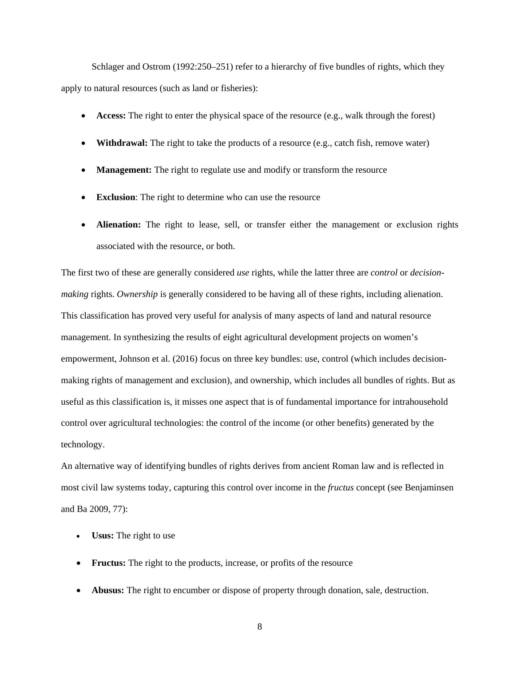Schlager and Ostrom (1992:250–251) refer to a hierarchy of five bundles of rights, which they apply to natural resources (such as land or fisheries):

- **Access:** The right to enter the physical space of the resource (e.g., walk through the forest)
- **Withdrawal:** The right to take the products of a resource (e.g., catch fish, remove water)
- **Management:** The right to regulate use and modify or transform the resource
- **Exclusion**: The right to determine who can use the resource
- **Alienation:** The right to lease, sell, or transfer either the management or exclusion rights associated with the resource, or both.

The first two of these are generally considered *use* rights, while the latter three are *control* or *decisionmaking* rights. *Ownership* is generally considered to be having all of these rights, including alienation. This classification has proved very useful for analysis of many aspects of land and natural resource management. In synthesizing the results of eight agricultural development projects on women's empowerment, Johnson et al. (2016) focus on three key bundles: use, control (which includes decisionmaking rights of management and exclusion), and ownership, which includes all bundles of rights. But as useful as this classification is, it misses one aspect that is of fundamental importance for intrahousehold control over agricultural technologies: the control of the income (or other benefits) generated by the technology.

An alternative way of identifying bundles of rights derives from ancient Roman law and is reflected in most civil law systems today, capturing this control over income in the *fructus* concept (see Benjaminsen and Ba 2009, 77):

- **Usus:** The right to use
- **Fructus:** The right to the products, increase, or profits of the resource
- **Abusus:** The right to encumber or dispose of property through donation, sale, destruction.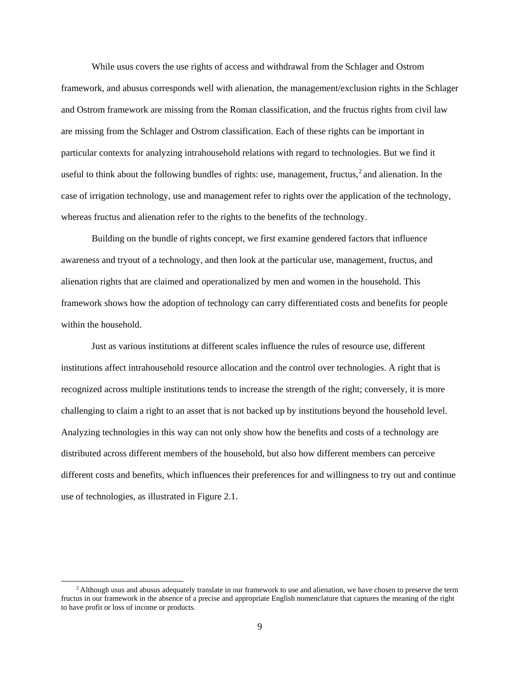While usus covers the use rights of access and withdrawal from the Schlager and Ostrom framework, and abusus corresponds well with alienation, the management/exclusion rights in the Schlager and Ostrom framework are missing from the Roman classification, and the fructus rights from civil law are missing from the Schlager and Ostrom classification. Each of these rights can be important in particular contexts for analyzing intrahousehold relations with regard to technologies. But we find it useful to think about the following bundles of rights: use, management, fructus,  $2$  and alienation. In the case of irrigation technology, use and management refer to rights over the application of the technology, whereas fructus and alienation refer to the rights to the benefits of the technology.

Building on the bundle of rights concept, we first examine gendered factors that influence awareness and tryout of a technology, and then look at the particular use, management, fructus, and alienation rights that are claimed and operationalized by men and women in the household. This framework shows how the adoption of technology can carry differentiated costs and benefits for people within the household.

Just as various institutions at different scales influence the rules of resource use, different institutions affect intrahousehold resource allocation and the control over technologies. A right that is recognized across multiple institutions tends to increase the strength of the right; conversely, it is more challenging to claim a right to an asset that is not backed up by institutions beyond the household level. Analyzing technologies in this way can not only show how the benefits and costs of a technology are distributed across different members of the household, but also how different members can perceive different costs and benefits, which influences their preferences for and willingness to try out and continue use of technologies, as illustrated in Figure 2.1.

<span id="page-14-0"></span><sup>&</sup>lt;sup>2</sup> Although usus and abusus adequately translate in our framework to use and alienation, we have chosen to preserve the term fructus in our framework in the absence of a precise and appropriate English nomenclature that captures the meaning of the right to have profit or loss of income or products.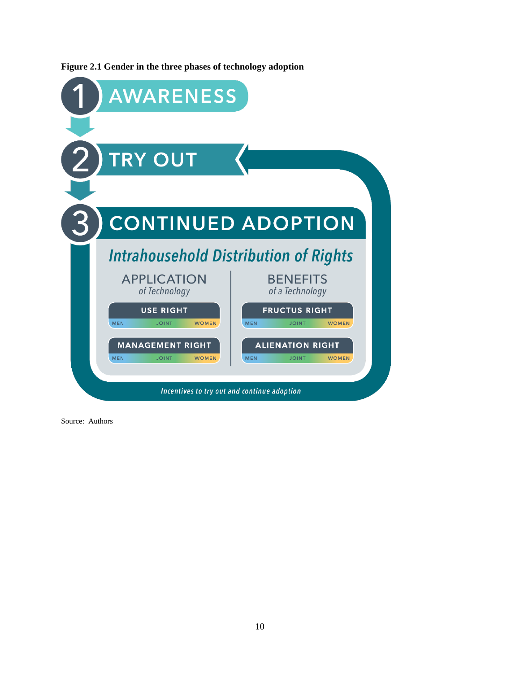

<span id="page-15-0"></span>**Figure 2.1 Gender in the three phases of technology adoption**

Source: Authors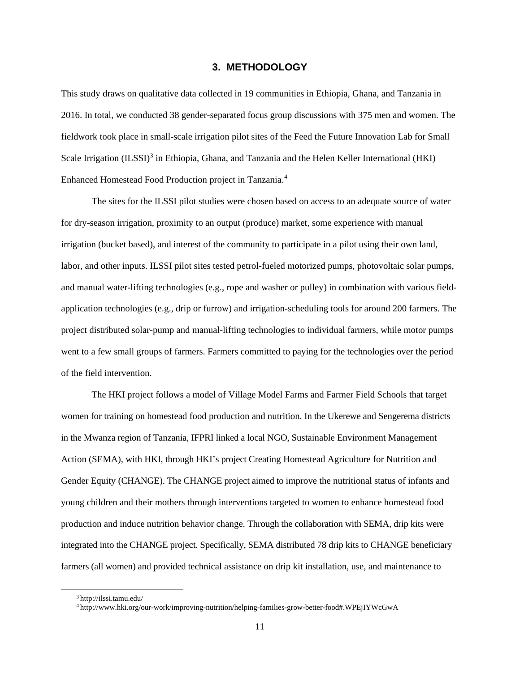#### **3. METHODOLOGY**

<span id="page-16-0"></span>This study draws on qualitative data collected in 19 communities in Ethiopia, Ghana, and Tanzania in 2016. In total, we conducted 38 gender-separated focus group discussions with 375 men and women. The fieldwork took place in small-scale irrigation pilot sites of the Feed the Future Innovation Lab for Small Scale Irrigation (ILSSI)<sup>[3](#page-16-1)</sup> in Ethiopia, Ghana, and Tanzania and the Helen Keller International (HKI) Enhanced Homestead Food Production project in Tanzania.[4](#page-16-2)

The sites for the ILSSI pilot studies were chosen based on access to an adequate source of water for dry-season irrigation, proximity to an output (produce) market, some experience with manual irrigation (bucket based), and interest of the community to participate in a pilot using their own land, labor, and other inputs. ILSSI pilot sites tested petrol-fueled motorized pumps, photovoltaic solar pumps, and manual water-lifting technologies (e.g., rope and washer or pulley) in combination with various fieldapplication technologies (e.g., drip or furrow) and irrigation-scheduling tools for around 200 farmers. The project distributed solar-pump and manual-lifting technologies to individual farmers, while motor pumps went to a few small groups of farmers. Farmers committed to paying for the technologies over the period of the field intervention.

The HKI project follows a model of Village Model Farms and Farmer Field Schools that target women for training on homestead food production and nutrition. In the Ukerewe and Sengerema districts in the Mwanza region of Tanzania, IFPRI linked a local NGO, Sustainable Environment Management Action (SEMA), with HKI, through HKI's project Creating Homestead Agriculture for Nutrition and Gender Equity (CHANGE). The CHANGE project aimed to improve the nutritional status of infants and young children and their mothers through interventions targeted to women to enhance homestead food production and induce nutrition behavior change. Through the collaboration with SEMA, drip kits were integrated into the CHANGE project. Specifically, SEMA distributed 78 drip kits to CHANGE beneficiary farmers (all women) and provided technical assistance on drip kit installation, use, and maintenance to

<span id="page-16-1"></span> <sup>3</sup> http://ilssi.tamu.edu/

<span id="page-16-2"></span><sup>4</sup> http://www.hki.org/our-work/improving-nutrition/helping-families-grow-better-food#.WPEjIYWcGwA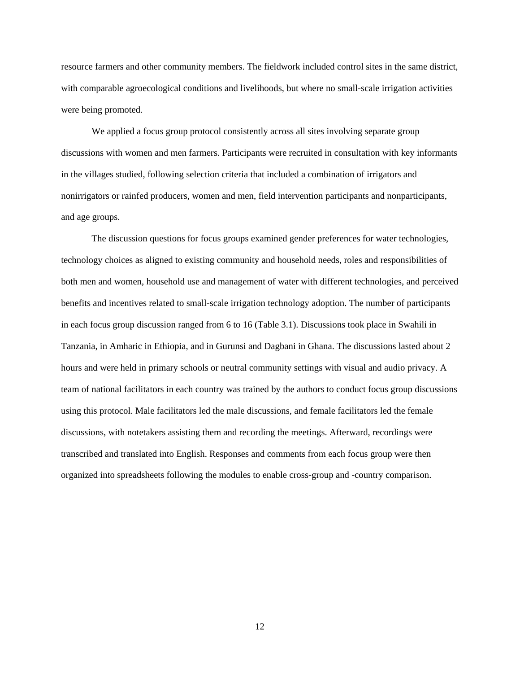resource farmers and other community members. The fieldwork included control sites in the same district, with comparable agroecological conditions and livelihoods, but where no small-scale irrigation activities were being promoted.

We applied a focus group protocol consistently across all sites involving separate group discussions with women and men farmers. Participants were recruited in consultation with key informants in the villages studied, following selection criteria that included a combination of irrigators and nonirrigators or rainfed producers, women and men, field intervention participants and nonparticipants, and age groups.

The discussion questions for focus groups examined gender preferences for water technologies, technology choices as aligned to existing community and household needs, roles and responsibilities of both men and women, household use and management of water with different technologies, and perceived benefits and incentives related to small-scale irrigation technology adoption. The number of participants in each focus group discussion ranged from 6 to 16 (Table 3.1). Discussions took place in Swahili in Tanzania, in Amharic in Ethiopia, and in Gurunsi and Dagbani in Ghana. The discussions lasted about 2 hours and were held in primary schools or neutral community settings with visual and audio privacy. A team of national facilitators in each country was trained by the authors to conduct focus group discussions using this protocol. Male facilitators led the male discussions, and female facilitators led the female discussions, with notetakers assisting them and recording the meetings. Afterward, recordings were transcribed and translated into English. Responses and comments from each focus group were then organized into spreadsheets following the modules to enable cross-group and -country comparison.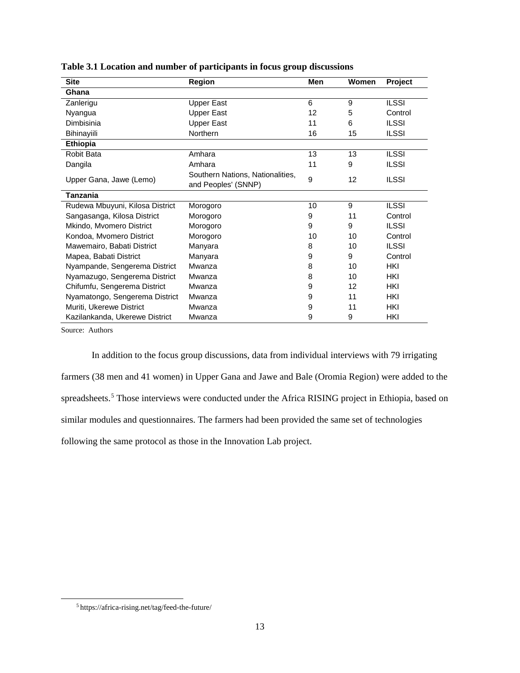| <b>Site</b>                     | Region                                                  | Men | Women | Project      |
|---------------------------------|---------------------------------------------------------|-----|-------|--------------|
| Ghana                           |                                                         |     |       |              |
| Zanlerigu                       | Upper East                                              | 6   | 9     | <b>ILSSI</b> |
| Nyangua                         | Upper East                                              | 12  | 5     | Control      |
| Dimbisinia                      | <b>Upper East</b>                                       | 11  | 6     | <b>ILSSI</b> |
| Bihinayiili                     | Northern                                                | 16  | 15    | <b>ILSSI</b> |
| <b>Ethiopia</b>                 |                                                         |     |       |              |
| Robit Bata                      | Amhara                                                  | 13  | 13    | <b>ILSSI</b> |
| Dangila                         | Amhara                                                  | 11  | 9     | <b>ILSSI</b> |
| Upper Gana, Jawe (Lemo)         | Southern Nations, Nationalities,<br>and Peoples' (SNNP) | 9   | 12    | <b>ILSSI</b> |
| Tanzania                        |                                                         |     |       |              |
| Rudewa Mbuyuni, Kilosa District | Morogoro                                                | 10  | 9     | <b>ILSSI</b> |
| Sangasanga, Kilosa District     | Morogoro                                                | 9   | 11    | Control      |
| Mkindo, Mvomero District        | Morogoro                                                | 9   | 9     | <b>ILSSI</b> |
| Kondoa, Mvomero District        | Morogoro                                                | 10  | 10    | Control      |
| Mawemairo, Babati District      | Manyara                                                 | 8   | 10    | <b>ILSSI</b> |
| Mapea, Babati District          | Manyara                                                 | 9   | 9     | Control      |
| Nyampande, Sengerema District   | Mwanza                                                  | 8   | 10    | <b>HKI</b>   |
| Nyamazugo, Sengerema District   | Mwanza                                                  | 8   | 10    | HKI          |
| Chifumfu, Sengerema District    | Mwanza                                                  | 9   | 12    | <b>HKI</b>   |
| Nyamatongo, Sengerema District  | Mwanza                                                  | 9   | 11    | <b>HKI</b>   |
| Muriti, Ukerewe District        | Mwanza                                                  | 9   | 11    | <b>HKI</b>   |
| Kazilankanda, Ukerewe District  | Mwanza                                                  | 9   | 9     | HKI          |

**Table 3.1 Location and number of participants in focus group discussions**

Source: Authors

In addition to the focus group discussions, data from individual interviews with 79 irrigating farmers (38 men and 41 women) in Upper Gana and Jawe and Bale (Oromia Region) were added to the spreadsheets.<sup>[5](#page-18-0)</sup> Those interviews were conducted under the Africa RISING project in Ethiopia, based on similar modules and questionnaires. The farmers had been provided the same set of technologies following the same protocol as those in the Innovation Lab project.

<span id="page-18-0"></span> <sup>5</sup> https://africa-rising.net/tag/feed-the-future/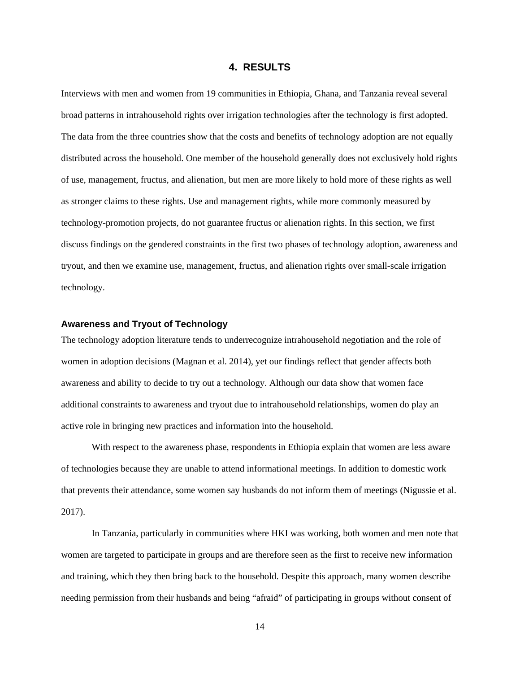#### **4. RESULTS**

<span id="page-19-0"></span>Interviews with men and women from 19 communities in Ethiopia, Ghana, and Tanzania reveal several broad patterns in intrahousehold rights over irrigation technologies after the technology is first adopted. The data from the three countries show that the costs and benefits of technology adoption are not equally distributed across the household. One member of the household generally does not exclusively hold rights of use, management, fructus, and alienation, but men are more likely to hold more of these rights as well as stronger claims to these rights. Use and management rights, while more commonly measured by technology-promotion projects, do not guarantee fructus or alienation rights. In this section, we first discuss findings on the gendered constraints in the first two phases of technology adoption, awareness and tryout, and then we examine use, management, fructus, and alienation rights over small-scale irrigation technology.

#### **Awareness and Tryout of Technology**

The technology adoption literature tends to underrecognize intrahousehold negotiation and the role of women in adoption decisions (Magnan et al. 2014), yet our findings reflect that gender affects both awareness and ability to decide to try out a technology. Although our data show that women face additional constraints to awareness and tryout due to intrahousehold relationships, women do play an active role in bringing new practices and information into the household.

With respect to the awareness phase, respondents in Ethiopia explain that women are less aware of technologies because they are unable to attend informational meetings. In addition to domestic work that prevents their attendance, some women say husbands do not inform them of meetings (Nigussie et al. 2017).

In Tanzania, particularly in communities where HKI was working, both women and men note that women are targeted to participate in groups and are therefore seen as the first to receive new information and training, which they then bring back to the household. Despite this approach, many women describe needing permission from their husbands and being "afraid" of participating in groups without consent of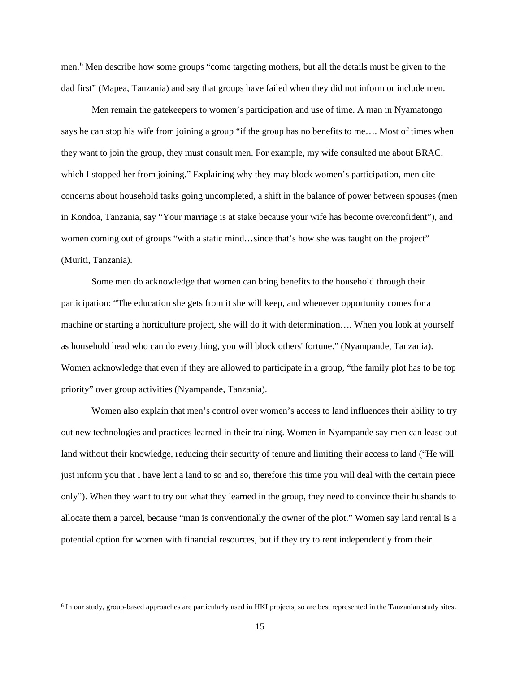men.[6](#page-20-0) Men describe how some groups "come targeting mothers, but all the details must be given to the dad first" (Mapea, Tanzania) and say that groups have failed when they did not inform or include men.

Men remain the gatekeepers to women's participation and use of time. A man in Nyamatongo says he can stop his wife from joining a group "if the group has no benefits to me…. Most of times when they want to join the group, they must consult men. For example, my wife consulted me about BRAC, which I stopped her from joining." Explaining why they may block women's participation, men cite concerns about household tasks going uncompleted, a shift in the balance of power between spouses (men in Kondoa, Tanzania, say "Your marriage is at stake because your wife has become overconfident"), and women coming out of groups "with a static mind...since that's how she was taught on the project" (Muriti, Tanzania).

Some men do acknowledge that women can bring benefits to the household through their participation: "The education she gets from it she will keep, and whenever opportunity comes for a machine or starting a horticulture project, she will do it with determination…. When you look at yourself as household head who can do everything, you will block others' fortune." (Nyampande, Tanzania). Women acknowledge that even if they are allowed to participate in a group, "the family plot has to be top priority" over group activities (Nyampande, Tanzania).

Women also explain that men's control over women's access to land influences their ability to try out new technologies and practices learned in their training. Women in Nyampande say men can lease out land without their knowledge, reducing their security of tenure and limiting their access to land ("He will just inform you that I have lent a land to so and so, therefore this time you will deal with the certain piece only"). When they want to try out what they learned in the group, they need to convince their husbands to allocate them a parcel, because "man is conventionally the owner of the plot." Women say land rental is a potential option for women with financial resources, but if they try to rent independently from their

<span id="page-20-0"></span> <sup>6</sup> In our study, group-based approaches are particularly used in HKI projects, so are best represented in the Tanzanian study sites.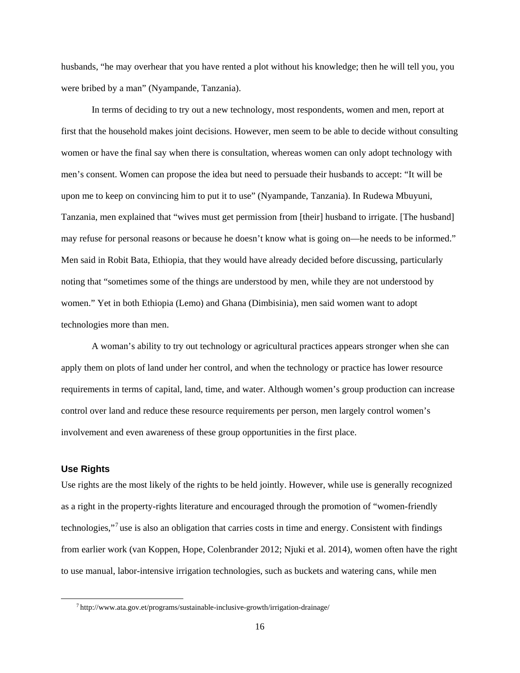husbands, "he may overhear that you have rented a plot without his knowledge; then he will tell you, you were bribed by a man" (Nyampande, Tanzania).

In terms of deciding to try out a new technology, most respondents, women and men, report at first that the household makes joint decisions. However, men seem to be able to decide without consulting women or have the final say when there is consultation, whereas women can only adopt technology with men's consent. Women can propose the idea but need to persuade their husbands to accept: "It will be upon me to keep on convincing him to put it to use" (Nyampande, Tanzania). In Rudewa Mbuyuni, Tanzania, men explained that "wives must get permission from [their] husband to irrigate. [The husband] may refuse for personal reasons or because he doesn't know what is going on—he needs to be informed." Men said in Robit Bata, Ethiopia, that they would have already decided before discussing, particularly noting that "sometimes some of the things are understood by men, while they are not understood by women." Yet in both Ethiopia (Lemo) and Ghana (Dimbisinia), men said women want to adopt technologies more than men.

A woman's ability to try out technology or agricultural practices appears stronger when she can apply them on plots of land under her control, and when the technology or practice has lower resource requirements in terms of capital, land, time, and water. Although women's group production can increase control over land and reduce these resource requirements per person, men largely control women's involvement and even awareness of these group opportunities in the first place.

#### **Use Rights**

Use rights are the most likely of the rights to be held jointly. However, while use is generally recognized as a right in the property-rights literature and encouraged through the promotion of "women-friendly technologies,"[7](#page-21-0) use is also an obligation that carries costs in time and energy. Consistent with findings from earlier work (van Koppen, Hope, Colenbrander 2012; Njuki et al. 2014), women often have the right to use manual, labor-intensive irrigation technologies, such as buckets and watering cans, while men

<span id="page-21-0"></span> $^7$ http://www.ata.gov.et/programs/sustainable-inclusive-growth/irrigation-drainage/  $\,$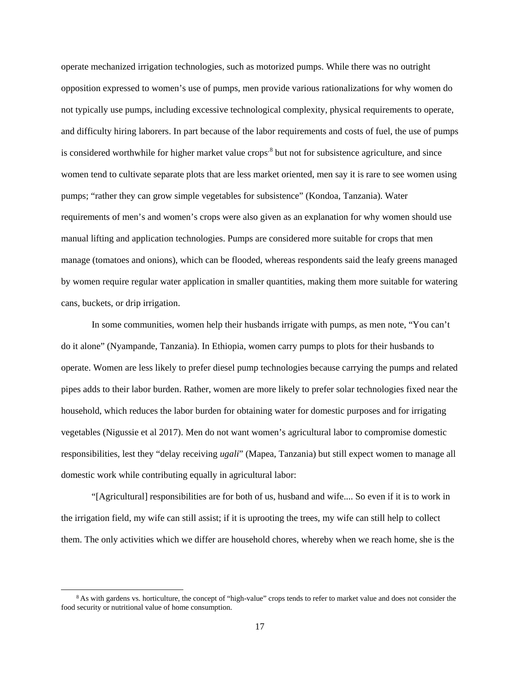operate mechanized irrigation technologies, such as motorized pumps. While there was no outright opposition expressed to women's use of pumps, men provide various rationalizations for why women do not typically use pumps, including excessive technological complexity, physical requirements to operate, and difficulty hiring laborers. In part because of the labor requirements and costs of fuel, the use of pumps is considered worthwhile for higher market value crops<sup>[8](#page-22-0)</sup> but not for subsistence agriculture, and since women tend to cultivate separate plots that are less market oriented, men say it is rare to see women using pumps; "rather they can grow simple vegetables for subsistence" (Kondoa, Tanzania). Water requirements of men's and women's crops were also given as an explanation for why women should use manual lifting and application technologies. Pumps are considered more suitable for crops that men manage (tomatoes and onions), which can be flooded, whereas respondents said the leafy greens managed by women require regular water application in smaller quantities, making them more suitable for watering cans, buckets, or drip irrigation.

In some communities, women help their husbands irrigate with pumps, as men note, "You can't do it alone" (Nyampande, Tanzania). In Ethiopia, women carry pumps to plots for their husbands to operate. Women are less likely to prefer diesel pump technologies because carrying the pumps and related pipes adds to their labor burden. Rather, women are more likely to prefer solar technologies fixed near the household, which reduces the labor burden for obtaining water for domestic purposes and for irrigating vegetables (Nigussie et al 2017). Men do not want women's agricultural labor to compromise domestic responsibilities, lest they "delay receiving *ugali*" (Mapea, Tanzania) but still expect women to manage all domestic work while contributing equally in agricultural labor:

"[Agricultural] responsibilities are for both of us, husband and wife.... So even if it is to work in the irrigation field, my wife can still assist; if it is uprooting the trees, my wife can still help to collect them. The only activities which we differ are household chores, whereby when we reach home, she is the

<span id="page-22-0"></span><sup>&</sup>lt;sup>8</sup> As with gardens vs. horticulture, the concept of "high-value" crops tends to refer to market value and does not consider the food security or nutritional value of home consumption.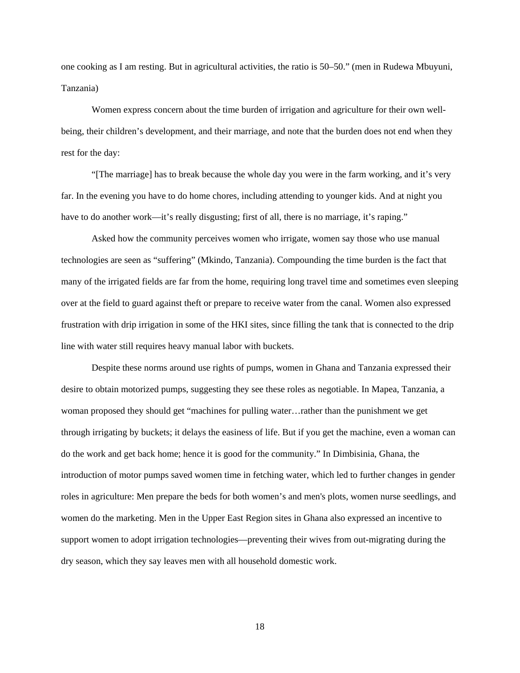one cooking as I am resting. But in agricultural activities, the ratio is 50–50." (men in Rudewa Mbuyuni, Tanzania)

Women express concern about the time burden of irrigation and agriculture for their own wellbeing, their children's development, and their marriage, and note that the burden does not end when they rest for the day:

"[The marriage] has to break because the whole day you were in the farm working, and it's very far. In the evening you have to do home chores, including attending to younger kids. And at night you have to do another work—it's really disgusting; first of all, there is no marriage, it's raping."

Asked how the community perceives women who irrigate, women say those who use manual technologies are seen as "suffering" (Mkindo, Tanzania). Compounding the time burden is the fact that many of the irrigated fields are far from the home, requiring long travel time and sometimes even sleeping over at the field to guard against theft or prepare to receive water from the canal. Women also expressed frustration with drip irrigation in some of the HKI sites, since filling the tank that is connected to the drip line with water still requires heavy manual labor with buckets.

Despite these norms around use rights of pumps, women in Ghana and Tanzania expressed their desire to obtain motorized pumps, suggesting they see these roles as negotiable. In Mapea, Tanzania, a woman proposed they should get "machines for pulling water…rather than the punishment we get through irrigating by buckets; it delays the easiness of life. But if you get the machine, even a woman can do the work and get back home; hence it is good for the community." In Dimbisinia, Ghana, the introduction of motor pumps saved women time in fetching water, which led to further changes in gender roles in agriculture: Men prepare the beds for both women's and men's plots, women nurse seedlings, and women do the marketing. Men in the Upper East Region sites in Ghana also expressed an incentive to support women to adopt irrigation technologies—preventing their wives from out-migrating during the dry season, which they say leaves men with all household domestic work.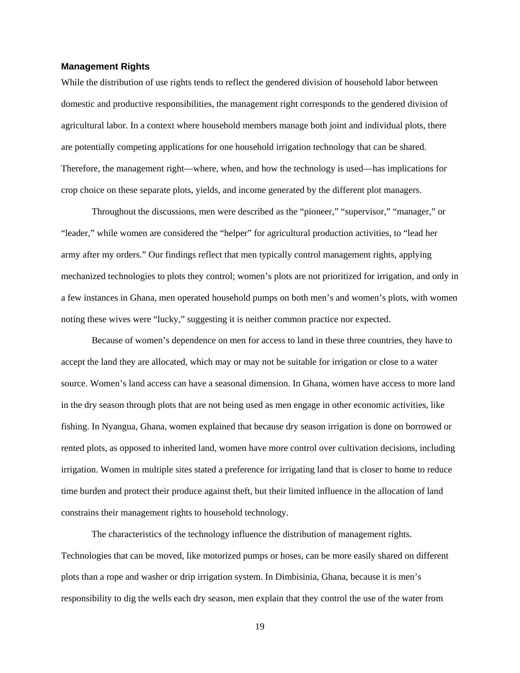#### **Management Rights**

While the distribution of use rights tends to reflect the gendered division of household labor between domestic and productive responsibilities, the management right corresponds to the gendered division of agricultural labor. In a context where household members manage both joint and individual plots, there are potentially competing applications for one household irrigation technology that can be shared. Therefore, the management right—where, when, and how the technology is used—has implications for crop choice on these separate plots, yields, and income generated by the different plot managers.

Throughout the discussions, men were described as the "pioneer," "supervisor," "manager," or "leader," while women are considered the "helper" for agricultural production activities, to "lead her army after my orders." Our findings reflect that men typically control management rights, applying mechanized technologies to plots they control; women's plots are not prioritized for irrigation, and only in a few instances in Ghana, men operated household pumps on both men's and women's plots, with women noting these wives were "lucky," suggesting it is neither common practice nor expected.

Because of women's dependence on men for access to land in these three countries, they have to accept the land they are allocated, which may or may not be suitable for irrigation or close to a water source. Women's land access can have a seasonal dimension. In Ghana, women have access to more land in the dry season through plots that are not being used as men engage in other economic activities, like fishing. In Nyangua, Ghana, women explained that because dry season irrigation is done on borrowed or rented plots, as opposed to inherited land, women have more control over cultivation decisions, including irrigation. Women in multiple sites stated a preference for irrigating land that is closer to home to reduce time burden and protect their produce against theft, but their limited influence in the allocation of land constrains their management rights to household technology.

The characteristics of the technology influence the distribution of management rights. Technologies that can be moved, like motorized pumps or hoses, can be more easily shared on different plots than a rope and washer or drip irrigation system. In Dimbisinia, Ghana, because it is men's responsibility to dig the wells each dry season, men explain that they control the use of the water from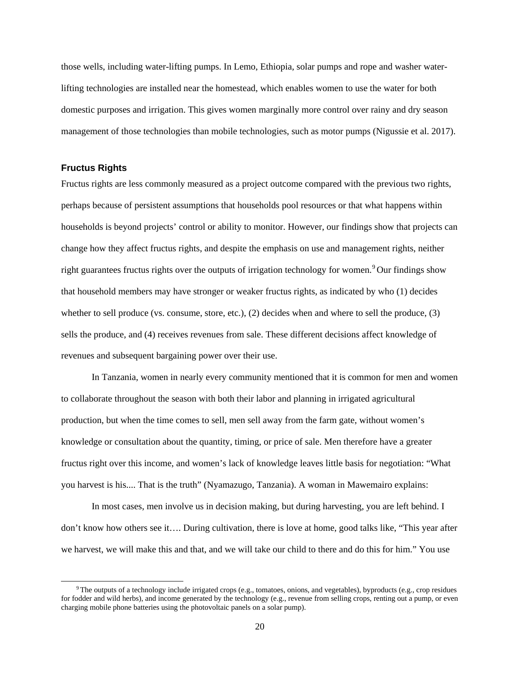those wells, including water-lifting pumps. In Lemo, Ethiopia, solar pumps and rope and washer waterlifting technologies are installed near the homestead, which enables women to use the water for both domestic purposes and irrigation. This gives women marginally more control over rainy and dry season management of those technologies than mobile technologies, such as motor pumps (Nigussie et al. 2017).

#### **Fructus Rights**

Fructus rights are less commonly measured as a project outcome compared with the previous two rights, perhaps because of persistent assumptions that households pool resources or that what happens within households is beyond projects' control or ability to monitor. However, our findings show that projects can change how they affect fructus rights, and despite the emphasis on use and management rights, neither right guarantees fructus rights over the outputs of irrigation technology for women.<sup>[9](#page-25-0)</sup> Our findings show that household members may have stronger or weaker fructus rights, as indicated by who (1) decides whether to sell produce (vs. consume, store, etc.), (2) decides when and where to sell the produce, (3) sells the produce, and (4) receives revenues from sale. These different decisions affect knowledge of revenues and subsequent bargaining power over their use.

In Tanzania, women in nearly every community mentioned that it is common for men and women to collaborate throughout the season with both their labor and planning in irrigated agricultural production, but when the time comes to sell, men sell away from the farm gate, without women's knowledge or consultation about the quantity, timing, or price of sale. Men therefore have a greater fructus right over this income, and women's lack of knowledge leaves little basis for negotiation: "What you harvest is his.... That is the truth" (Nyamazugo, Tanzania). A woman in Mawemairo explains:

In most cases, men involve us in decision making, but during harvesting, you are left behind. I don't know how others see it…. During cultivation, there is love at home, good talks like, "This year after we harvest, we will make this and that, and we will take our child to there and do this for him." You use

<span id="page-25-0"></span> $9$  The outputs of a technology include irrigated crops (e.g., tomatoes, onions, and vegetables), byproducts (e.g., crop residues for fodder and wild herbs), and income generated by the technology (e.g., revenue from selling crops, renting out a pump, or even charging mobile phone batteries using the photovoltaic panels on a solar pump).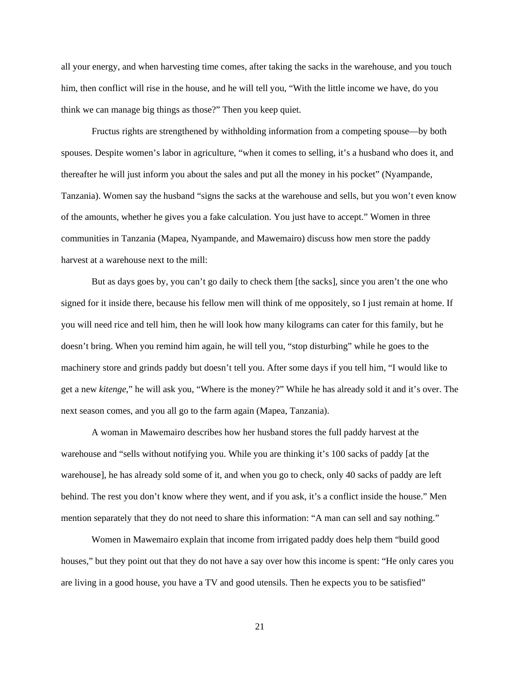all your energy, and when harvesting time comes, after taking the sacks in the warehouse, and you touch him, then conflict will rise in the house, and he will tell you, "With the little income we have, do you think we can manage big things as those?" Then you keep quiet.

Fructus rights are strengthened by withholding information from a competing spouse—by both spouses. Despite women's labor in agriculture, "when it comes to selling, it's a husband who does it, and thereafter he will just inform you about the sales and put all the money in his pocket" (Nyampande, Tanzania). Women say the husband "signs the sacks at the warehouse and sells, but you won't even know of the amounts, whether he gives you a fake calculation. You just have to accept." Women in three communities in Tanzania (Mapea, Nyampande, and Mawemairo) discuss how men store the paddy harvest at a warehouse next to the mill:

But as days goes by, you can't go daily to check them [the sacks], since you aren't the one who signed for it inside there, because his fellow men will think of me oppositely, so I just remain at home. If you will need rice and tell him, then he will look how many kilograms can cater for this family, but he doesn't bring. When you remind him again, he will tell you, "stop disturbing" while he goes to the machinery store and grinds paddy but doesn't tell you. After some days if you tell him, "I would like to get a new *kitenge*," he will ask you, "Where is the money?" While he has already sold it and it's over. The next season comes, and you all go to the farm again (Mapea, Tanzania).

A woman in Mawemairo describes how her husband stores the full paddy harvest at the warehouse and "sells without notifying you. While you are thinking it's 100 sacks of paddy [at the warehouse], he has already sold some of it, and when you go to check, only 40 sacks of paddy are left behind. The rest you don't know where they went, and if you ask, it's a conflict inside the house." Men mention separately that they do not need to share this information: "A man can sell and say nothing."

Women in Mawemairo explain that income from irrigated paddy does help them "build good houses," but they point out that they do not have a say over how this income is spent: "He only cares you are living in a good house, you have a TV and good utensils. Then he expects you to be satisfied"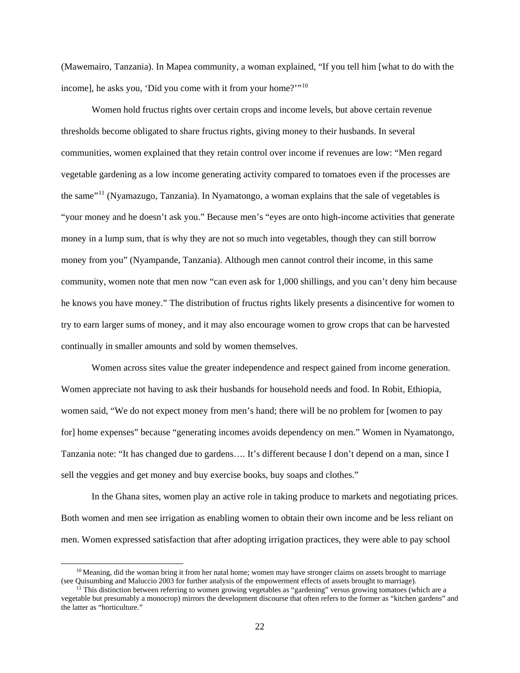(Mawemairo, Tanzania). In Mapea community, a woman explained, "If you tell him [what to do with the income], he asks you, 'Did you come with it from your home?'"<sup>[10](#page-27-0)</sup>

Women hold fructus rights over certain crops and income levels, but above certain revenue thresholds become obligated to share fructus rights, giving money to their husbands. In several communities, women explained that they retain control over income if revenues are low: "Men regard vegetable gardening as a low income generating activity compared to tomatoes even if the processes are the same"[11](#page-27-1) (Nyamazugo, Tanzania). In Nyamatongo, a woman explains that the sale of vegetables is "your money and he doesn't ask you." Because men's "eyes are onto high-income activities that generate money in a lump sum, that is why they are not so much into vegetables, though they can still borrow money from you" (Nyampande, Tanzania). Although men cannot control their income, in this same community, women note that men now "can even ask for 1,000 shillings, and you can't deny him because he knows you have money." The distribution of fructus rights likely presents a disincentive for women to try to earn larger sums of money, and it may also encourage women to grow crops that can be harvested continually in smaller amounts and sold by women themselves.

Women across sites value the greater independence and respect gained from income generation. Women appreciate not having to ask their husbands for household needs and food. In Robit, Ethiopia, women said, "We do not expect money from men's hand; there will be no problem for [women to pay for] home expenses" because "generating incomes avoids dependency on men." Women in Nyamatongo, Tanzania note: "It has changed due to gardens…. It's different because I don't depend on a man, since I sell the veggies and get money and buy exercise books, buy soaps and clothes."

In the Ghana sites, women play an active role in taking produce to markets and negotiating prices. Both women and men see irrigation as enabling women to obtain their own income and be less reliant on men. Women expressed satisfaction that after adopting irrigation practices, they were able to pay school

<span id="page-27-0"></span> $10$  Meaning, did the woman bring it from her natal home; women may have stronger claims on assets brought to marriage (see Quisumbing and Maluccio 2003 for further analysis of the empowerment effects of assets brought to marriage).

<span id="page-27-1"></span><sup>&</sup>lt;sup>11</sup> This distinction between referring to women growing vegetables as "gardening" versus growing tomatoes (which are a vegetable but presumably a monocrop) mirrors the development discourse that often refers to the former as "kitchen gardens" and the latter as "horticulture."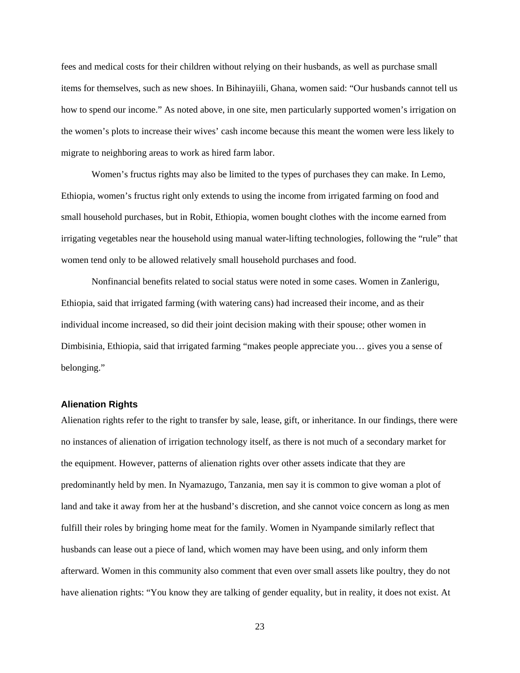fees and medical costs for their children without relying on their husbands, as well as purchase small items for themselves, such as new shoes. In Bihinayiili, Ghana, women said: "Our husbands cannot tell us how to spend our income." As noted above, in one site, men particularly supported women's irrigation on the women's plots to increase their wives' cash income because this meant the women were less likely to migrate to neighboring areas to work as hired farm labor.

Women's fructus rights may also be limited to the types of purchases they can make. In Lemo, Ethiopia, women's fructus right only extends to using the income from irrigated farming on food and small household purchases, but in Robit, Ethiopia, women bought clothes with the income earned from irrigating vegetables near the household using manual water-lifting technologies, following the "rule" that women tend only to be allowed relatively small household purchases and food.

Nonfinancial benefits related to social status were noted in some cases. Women in Zanlerigu, Ethiopia, said that irrigated farming (with watering cans) had increased their income, and as their individual income increased, so did their joint decision making with their spouse; other women in Dimbisinia, Ethiopia, said that irrigated farming "makes people appreciate you… gives you a sense of belonging."

#### **Alienation Rights**

Alienation rights refer to the right to transfer by sale, lease, gift, or inheritance. In our findings, there were no instances of alienation of irrigation technology itself, as there is not much of a secondary market for the equipment. However, patterns of alienation rights over other assets indicate that they are predominantly held by men. In Nyamazugo, Tanzania, men say it is common to give woman a plot of land and take it away from her at the husband's discretion, and she cannot voice concern as long as men fulfill their roles by bringing home meat for the family. Women in Nyampande similarly reflect that husbands can lease out a piece of land, which women may have been using, and only inform them afterward. Women in this community also comment that even over small assets like poultry, they do not have alienation rights: "You know they are talking of gender equality, but in reality, it does not exist. At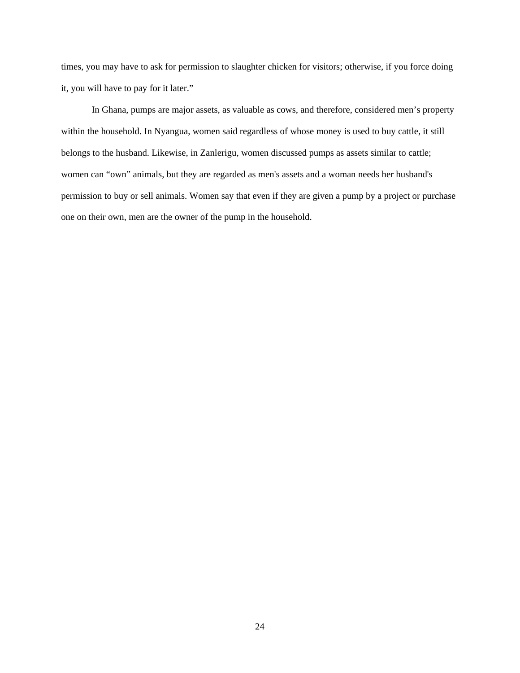times, you may have to ask for permission to slaughter chicken for visitors; otherwise, if you force doing it, you will have to pay for it later."

In Ghana, pumps are major assets, as valuable as cows, and therefore, considered men's property within the household. In Nyangua, women said regardless of whose money is used to buy cattle, it still belongs to the husband. Likewise, in Zanlerigu, women discussed pumps as assets similar to cattle; women can "own" animals, but they are regarded as men's assets and a woman needs her husband's permission to buy or sell animals. Women say that even if they are given a pump by a project or purchase one on their own, men are the owner of the pump in the household.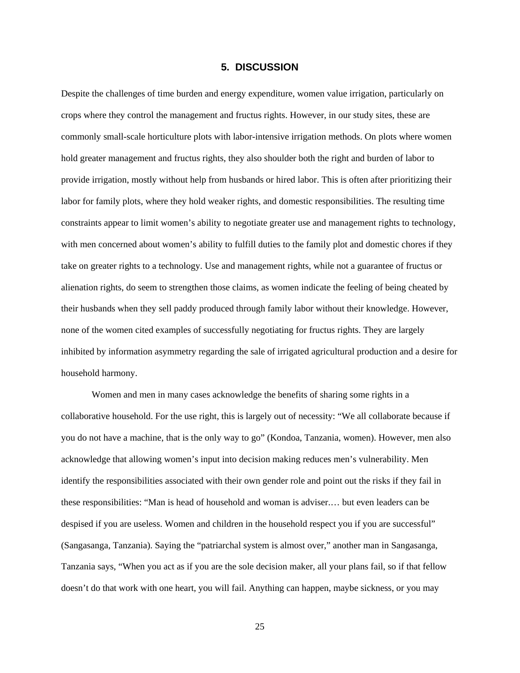#### **5. DISCUSSION**

<span id="page-30-0"></span>Despite the challenges of time burden and energy expenditure, women value irrigation, particularly on crops where they control the management and fructus rights. However, in our study sites, these are commonly small-scale horticulture plots with labor-intensive irrigation methods. On plots where women hold greater management and fructus rights, they also shoulder both the right and burden of labor to provide irrigation, mostly without help from husbands or hired labor. This is often after prioritizing their labor for family plots, where they hold weaker rights, and domestic responsibilities. The resulting time constraints appear to limit women's ability to negotiate greater use and management rights to technology, with men concerned about women's ability to fulfill duties to the family plot and domestic chores if they take on greater rights to a technology. Use and management rights, while not a guarantee of fructus or alienation rights, do seem to strengthen those claims, as women indicate the feeling of being cheated by their husbands when they sell paddy produced through family labor without their knowledge. However, none of the women cited examples of successfully negotiating for fructus rights. They are largely inhibited by information asymmetry regarding the sale of irrigated agricultural production and a desire for household harmony.

Women and men in many cases acknowledge the benefits of sharing some rights in a collaborative household. For the use right, this is largely out of necessity: "We all collaborate because if you do not have a machine, that is the only way to go" (Kondoa, Tanzania, women). However, men also acknowledge that allowing women's input into decision making reduces men's vulnerability. Men identify the responsibilities associated with their own gender role and point out the risks if they fail in these responsibilities: "Man is head of household and woman is adviser.… but even leaders can be despised if you are useless. Women and children in the household respect you if you are successful" (Sangasanga, Tanzania). Saying the "patriarchal system is almost over," another man in Sangasanga, Tanzania says, "When you act as if you are the sole decision maker, all your plans fail, so if that fellow doesn't do that work with one heart, you will fail. Anything can happen, maybe sickness, or you may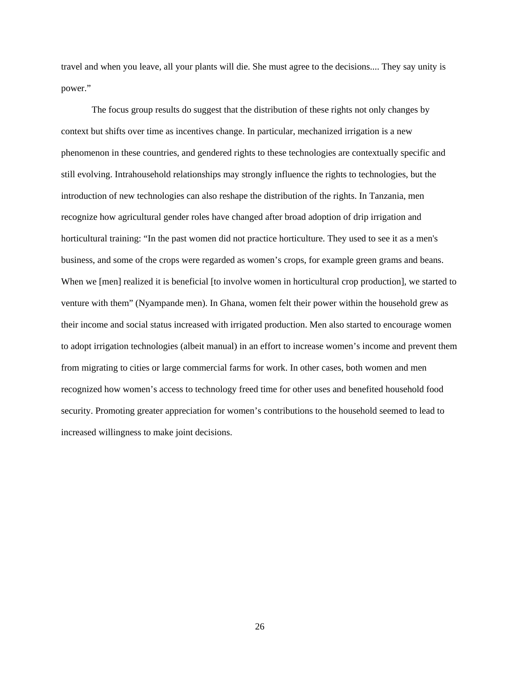travel and when you leave, all your plants will die. She must agree to the decisions.... They say unity is power."

The focus group results do suggest that the distribution of these rights not only changes by context but shifts over time as incentives change. In particular, mechanized irrigation is a new phenomenon in these countries, and gendered rights to these technologies are contextually specific and still evolving. Intrahousehold relationships may strongly influence the rights to technologies, but the introduction of new technologies can also reshape the distribution of the rights. In Tanzania, men recognize how agricultural gender roles have changed after broad adoption of drip irrigation and horticultural training: "In the past women did not practice horticulture. They used to see it as a men's business, and some of the crops were regarded as women's crops, for example green grams and beans. When we [men] realized it is beneficial [to involve women in horticultural crop production], we started to venture with them" (Nyampande men). In Ghana, women felt their power within the household grew as their income and social status increased with irrigated production. Men also started to encourage women to adopt irrigation technologies (albeit manual) in an effort to increase women's income and prevent them from migrating to cities or large commercial farms for work. In other cases, both women and men recognized how women's access to technology freed time for other uses and benefited household food security. Promoting greater appreciation for women's contributions to the household seemed to lead to increased willingness to make joint decisions.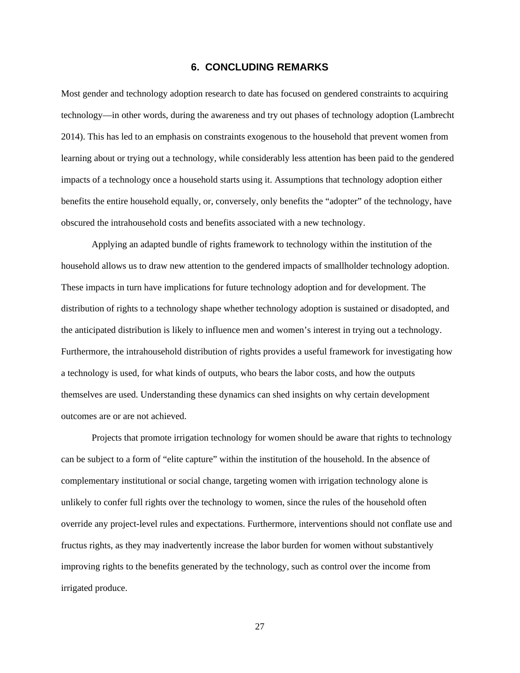#### **6. CONCLUDING REMARKS**

<span id="page-32-0"></span>Most gender and technology adoption research to date has focused on gendered constraints to acquiring technology—in other words, during the awareness and try out phases of technology adoption (Lambrecht 2014). This has led to an emphasis on constraints exogenous to the household that prevent women from learning about or trying out a technology, while considerably less attention has been paid to the gendered impacts of a technology once a household starts using it. Assumptions that technology adoption either benefits the entire household equally, or, conversely, only benefits the "adopter" of the technology, have obscured the intrahousehold costs and benefits associated with a new technology.

Applying an adapted bundle of rights framework to technology within the institution of the household allows us to draw new attention to the gendered impacts of smallholder technology adoption. These impacts in turn have implications for future technology adoption and for development. The distribution of rights to a technology shape whether technology adoption is sustained or disadopted, and the anticipated distribution is likely to influence men and women's interest in trying out a technology. Furthermore, the intrahousehold distribution of rights provides a useful framework for investigating how a technology is used, for what kinds of outputs, who bears the labor costs, and how the outputs themselves are used. Understanding these dynamics can shed insights on why certain development outcomes are or are not achieved.

Projects that promote irrigation technology for women should be aware that rights to technology can be subject to a form of "elite capture" within the institution of the household. In the absence of complementary institutional or social change, targeting women with irrigation technology alone is unlikely to confer full rights over the technology to women, since the rules of the household often override any project-level rules and expectations. Furthermore, interventions should not conflate use and fructus rights, as they may inadvertently increase the labor burden for women without substantively improving rights to the benefits generated by the technology, such as control over the income from irrigated produce.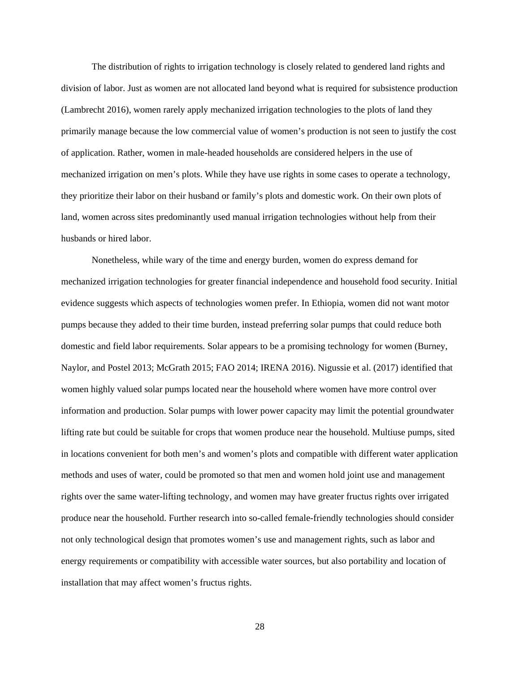The distribution of rights to irrigation technology is closely related to gendered land rights and division of labor. Just as women are not allocated land beyond what is required for subsistence production (Lambrecht 2016), women rarely apply mechanized irrigation technologies to the plots of land they primarily manage because the low commercial value of women's production is not seen to justify the cost of application. Rather, women in male-headed households are considered helpers in the use of mechanized irrigation on men's plots. While they have use rights in some cases to operate a technology, they prioritize their labor on their husband or family's plots and domestic work. On their own plots of land, women across sites predominantly used manual irrigation technologies without help from their husbands or hired labor.

Nonetheless, while wary of the time and energy burden, women do express demand for mechanized irrigation technologies for greater financial independence and household food security. Initial evidence suggests which aspects of technologies women prefer. In Ethiopia, women did not want motor pumps because they added to their time burden, instead preferring solar pumps that could reduce both domestic and field labor requirements. Solar appears to be a promising technology for women (Burney, Naylor, and Postel 2013; McGrath 2015; FAO 2014; IRENA 2016). Nigussie et al. (2017) identified that women highly valued solar pumps located near the household where women have more control over information and production. Solar pumps with lower power capacity may limit the potential groundwater lifting rate but could be suitable for crops that women produce near the household. Multiuse pumps, sited in locations convenient for both men's and women's plots and compatible with different water application methods and uses of water, could be promoted so that men and women hold joint use and management rights over the same water-lifting technology, and women may have greater fructus rights over irrigated produce near the household. Further research into so-called female-friendly technologies should consider not only technological design that promotes women's use and management rights, such as labor and energy requirements or compatibility with accessible water sources, but also portability and location of installation that may affect women's fructus rights.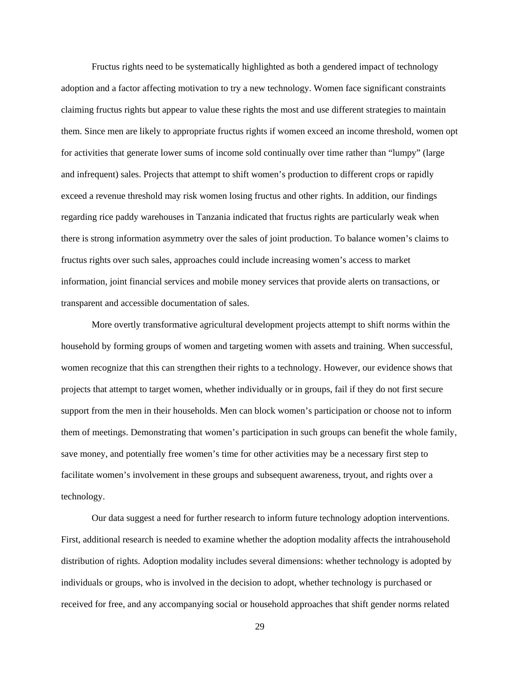Fructus rights need to be systematically highlighted as both a gendered impact of technology adoption and a factor affecting motivation to try a new technology. Women face significant constraints claiming fructus rights but appear to value these rights the most and use different strategies to maintain them. Since men are likely to appropriate fructus rights if women exceed an income threshold, women opt for activities that generate lower sums of income sold continually over time rather than "lumpy" (large and infrequent) sales. Projects that attempt to shift women's production to different crops or rapidly exceed a revenue threshold may risk women losing fructus and other rights. In addition, our findings regarding rice paddy warehouses in Tanzania indicated that fructus rights are particularly weak when there is strong information asymmetry over the sales of joint production. To balance women's claims to fructus rights over such sales, approaches could include increasing women's access to market information, joint financial services and mobile money services that provide alerts on transactions, or transparent and accessible documentation of sales.

More overtly transformative agricultural development projects attempt to shift norms within the household by forming groups of women and targeting women with assets and training. When successful, women recognize that this can strengthen their rights to a technology. However, our evidence shows that projects that attempt to target women, whether individually or in groups, fail if they do not first secure support from the men in their households. Men can block women's participation or choose not to inform them of meetings. Demonstrating that women's participation in such groups can benefit the whole family, save money, and potentially free women's time for other activities may be a necessary first step to facilitate women's involvement in these groups and subsequent awareness, tryout, and rights over a technology.

Our data suggest a need for further research to inform future technology adoption interventions. First, additional research is needed to examine whether the adoption modality affects the intrahousehold distribution of rights. Adoption modality includes several dimensions: whether technology is adopted by individuals or groups, who is involved in the decision to adopt, whether technology is purchased or received for free, and any accompanying social or household approaches that shift gender norms related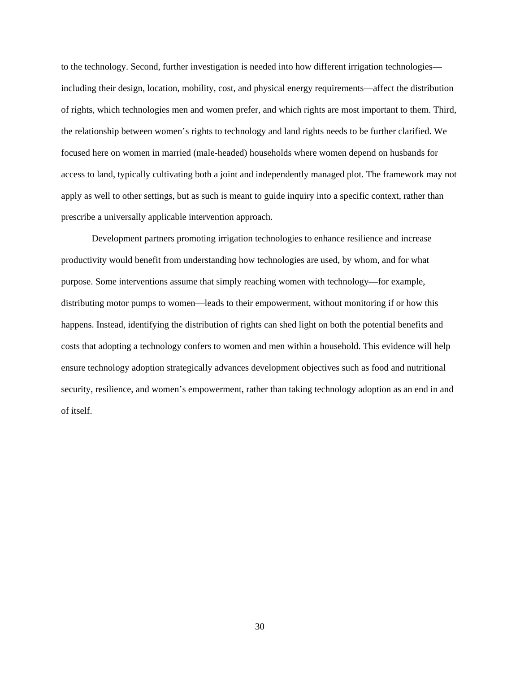to the technology. Second, further investigation is needed into how different irrigation technologies including their design, location, mobility, cost, and physical energy requirements—affect the distribution of rights, which technologies men and women prefer, and which rights are most important to them. Third, the relationship between women's rights to technology and land rights needs to be further clarified. We focused here on women in married (male-headed) households where women depend on husbands for access to land, typically cultivating both a joint and independently managed plot. The framework may not apply as well to other settings, but as such is meant to guide inquiry into a specific context, rather than prescribe a universally applicable intervention approach.

Development partners promoting irrigation technologies to enhance resilience and increase productivity would benefit from understanding how technologies are used, by whom, and for what purpose. Some interventions assume that simply reaching women with technology—for example, distributing motor pumps to women—leads to their empowerment, without monitoring if or how this happens. Instead, identifying the distribution of rights can shed light on both the potential benefits and costs that adopting a technology confers to women and men within a household. This evidence will help ensure technology adoption strategically advances development objectives such as food and nutritional security, resilience, and women's empowerment, rather than taking technology adoption as an end in and of itself.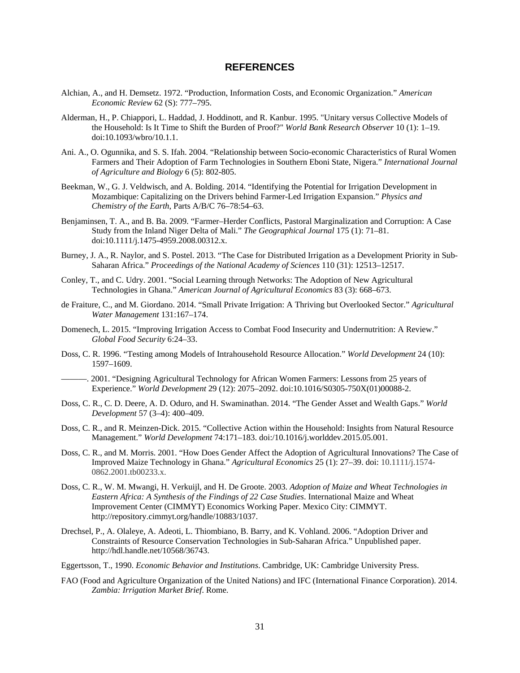#### **REFERENCES**

- <span id="page-36-0"></span>Alchian, A., and H. Demsetz. 1972. "Production, Information Costs, and Economic Organization." *American Economic Review* 62 (S): 777–795.
- Alderman, H., P. Chiappori, L. Haddad, J. Hoddinott, and R. Kanbur. 1995. "Unitary versus Collective Models of the Household: Is It Time to Shift the Burden of Proof?" *World Bank Research Observer* 10 (1): 1–19. [doi:10.1093/wbro/10.1.1.](doi:10.1093/wbro/10.1.1)
- Ani. A., O. Ogunnika, and S. S. Ifah. 2004. "Relationship between Socio-economic Characteristics of Rural Women Farmers and Their Adoption of Farm Technologies in Southern Eboni State, Nigera." *International Journal of Agriculture and Biology* 6 (5): 802-805.
- Beekman, W., G. J. Veldwisch, and A. Bolding. 2014. "Identifying the Potential for Irrigation Development in Mozambique: Capitalizing on the Drivers behind Farmer-Led Irrigation Expansion." *Physics and Chemistry of the Earth*, Parts A/B/C 76–78:54–63.
- Benjaminsen, T. A., and B. Ba. 2009. "Farmer–Herder Conflicts, Pastoral Marginalization and Corruption: A Case Study from the Inland Niger Delta of Mali." *The Geographical Journal* 175 (1): 71–81. doi:10.1111/j.1475-4959.2008.00312.x.
- Burney, J. A., R. Naylor, and S. Postel. 2013. "The Case for Distributed Irrigation as a Development Priority in Sub-Saharan Africa." *Proceedings of the National Academy of Sciences* 110 (31): 12513–12517.
- Conley, T., and C. Udry. 2001. "Social Learning through Networks: The Adoption of New Agricultural Technologies in Ghana." *American Journal of Agricultural Economics* 83 (3): 668–673.
- de Fraiture, C., and M. Giordano. 2014. "Small Private Irrigation: A Thriving but Overlooked Sector." *Agricultural Water Management* 131:167–174.
- Domenech, L. 2015. "Improving Irrigation Access to Combat Food Insecurity and Undernutrition: A Review." *Global Food Security* 6:24–33.
- Doss, C. R. 1996. "Testing among Models of Intrahousehold Resource Allocation." *World Development* 24 (10): 1597–1609.
- ———. 2001. "Designing Agricultural Technology for African Women Farmers: Lessons from 25 years of Experience." *World Development* 29 (12): 2075–2092[. doi:10.1016/S0305-750X\(01\)00088-2.](doi:10.1016/S0305-750X(01)00088-2)
- Doss, C. R., C. D. Deere, A. D. Oduro, and H. Swaminathan. 2014. "The Gender Asset and Wealth Gaps." *World Development* 57 (3–4): 400–409.
- Doss, C. R., and R. Meinzen-Dick. 2015. "Collective Action within the Household: Insights from Natural Resource Management." *World Development* 74:171–183. [doi:/10.1016/j.worlddev.2015.05.001.](doi://10.1016/j.worlddev.2015.05.001)
- Doss, C. R., and M. Morris. 2001. "How Does Gender Affect the Adoption of Agricultural Innovations? The Case of Improved Maize Technology in Ghana." *Agricultural Economics* 25 (1): 27–39. doi: 10.1111/j.1574- 0862.2001.tb00233.x.
- Doss, C. R., W. M. Mwangi, H. Verkuijl, and H. De Groote. 2003. *Adoption of Maize and Wheat Technologies in Eastern Africa: A Synthesis of the Findings of 22 Case Studies*. International Maize and Wheat Improvement Center (CIMMYT) Economics Working Paper. Mexico City: CIMMYT. http://repository.cimmyt.org/handle/10883/1037.
- Drechsel, P., A. Olaleye, A. Adeoti, L. Thiombiano, B. Barry, and K. Vohland. 2006. "Adoption Driver and Constraints of Resource Conservation Technologies in Sub-Saharan Africa." Unpublished paper. [http://hdl.handle.net/10568/36743.](http://hdl.handle.net/10568/36743)
- Eggertsson, T., 1990. *Economic Behavior and Institutions*. Cambridge, UK: Cambridge University Press.
- FAO (Food and Agriculture Organization of the United Nations) and IFC (International Finance Corporation). 2014. *Zambia: Irrigation Market Brief*. Rome.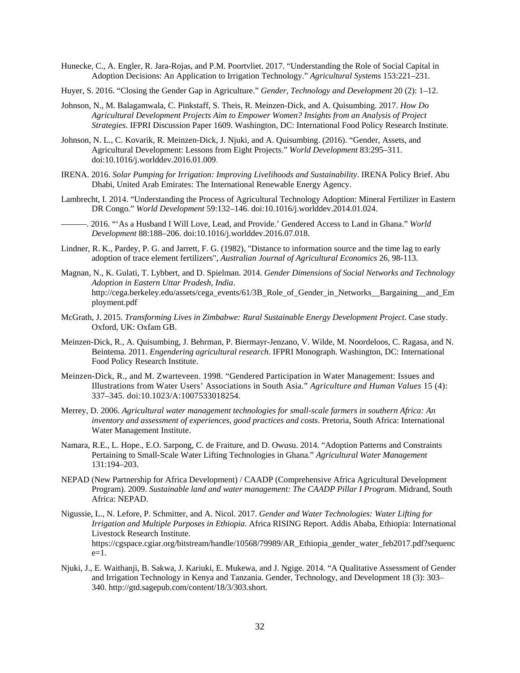- Hunecke, C., A. Engler, R. Jara-Rojas, and P.M. Poortvliet. 2017. "Understanding the Role of Social Capital in Adoption Decisions: An Application to Irrigation Technology." *Agricultural Systems* 153:221–231.
- Huyer, S. 2016. "Closing the Gender Gap in Agriculture." *Gender, Technology and Development* 20 (2): 1–12.
- Johnson, N., M. Balagamwala, C. Pinkstaff, S. Theis, R. Meinzen-Dick, and A. Quisumbing. 2017. *How Do Agricultural Development Projects Aim to Empower Women? Insights from an Analysis of Project Strategies*. IFPRI Discussion Paper 1609. Washington, DC: International Food Policy Research Institute.
- Johnson, N. L., C. Kovarik, R. Meinzen-Dick, J. Njuki, and A. Quisumbing. (2016). "Gender, Assets, and Agricultural Development: Lessons from Eight Projects." *World Development* 83:295–311. [doi:10.1016/j.worlddev.2016.01.009.](doi:10.1016/j.worlddev.2016.01.009)
- IRENA. 2016. *Solar Pumping for Irrigation: Improving Livelihoods and Sustainability*. IRENA Policy Brief. Abu Dhabi, United Arab Emirates: The International Renewable Energy Agency.
- Lambrecht, I. 2014. "Understanding the Process of Agricultural Technology Adoption: Mineral Fertilizer in Eastern DR Congo." *World Development* 59:132–146. [doi:10.1016/j.worlddev.2014.01.024.](doi:10.1016/j.worlddev.2014.01.024)
- ———. 2016. "'As a Husband I Will Love, Lead, and Provide.' Gendered Access to Land in Ghana." *World Development* 88:188–206. [doi:10.1016/j.worlddev.2016.07.018.](doi:10.1016/j.worlddev.2016.07.018)
- Lindner, R. K., Pardey, P. G. and Jarrett, F. G. (1982), "Distance to information source and the time lag to early adoption of trace element fertilizers", *Australian Journal of Agricultural Economics* 26, 98-113.
- Magnan, N., K. Gulati, T. Lybbert, and D. Spielman. 2014. *Gender Dimensions of Social Networks and Technology Adoption in Eastern Uttar Pradesh, India*. http://cega.berkeley.edu/assets/cega\_events/61/3B\_Role\_of\_Gender\_in\_Networks\_\_Bargaining\_\_and\_Em ployment.pdf
- McGrath, J. 2015. *Transforming Lives in Zimbabwe: Rural Sustainable Energy Development Project*. Case study. Oxford, UK: Oxfam GB.
- Meinzen-Dick, R., A. Quisumbing, J. Behrman, P. Biermayr-Jenzano, V. Wilde, M. Noordeloos, C. Ragasa, and N. Beintema. 2011. *Engendering agricultural research*. IFPRI Monograph. Washington, DC: International Food Policy Research Institute.
- Meinzen-Dick, R., and M. Zwarteveen. 1998. "Gendered Participation in Water Management: Issues and Illustrations from Water Users' Associations in South Asia." *Agriculture and Human Values* 15 (4): 337–345. doi:10.1023/A:1007533018254.
- Merrey, D. 2006. *Agricultural water management technologies for small-scale farmers in southern Africa: An inventory and assessment of experiences, good practices and costs*. Pretoria, South Africa: International Water Management Institute.
- Namara, R.E., L. Hope., E.O. Sarpong, C. de Fraiture, and D. Owusu. 2014. "Adoption Patterns and Constraints Pertaining to Small-Scale Water Lifting Technologies in Ghana." *Agricultural Water Management* 131:194–203.
- NEPAD (New Partnership for Africa Development) / CAADP (Comprehensive Africa Agricultural Development Program). 2009. *Sustainable land and water management: The CAADP Pillar I Program*. Midrand, South Africa: NEPAD.
- Nigussie, L., N. Lefore, P. Schmitter, and A. Nicol. 2017. *Gender and Water Technologies: Water Lifting for Irrigation and Multiple Purposes in Ethiopia*. Africa RISING Report. Addis Ababa, Ethiopia: International Livestock Research Institute. [https://cgspace.cgiar.org/bitstream/handle/10568/79989/AR\\_Ethiopia\\_gender\\_water\\_feb2017.pdf?sequenc](https://cgspace.cgiar.org/bitstream/handle/10568/79989/AR_Ethiopia_gender_water_feb2017.pdf?sequence=1)  $e=1$ .
- Njuki, J., E. Waithanji, B. Sakwa, J. Kariuki, E. Mukewa, and J. Ngige. 2014. "A Qualitative Assessment of Gender and Irrigation Technology in Kenya and Tanzania. Gender, Technology, and Development 18 (3): 303– 340. [http://gtd.sagepub.com/content/18/3/303.short.](http://gtd.sagepub.com/content/18/3/303.short)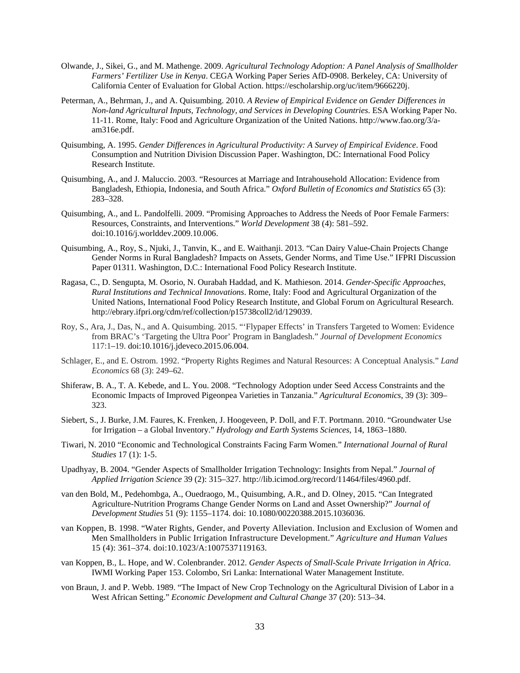- Olwande, J., Sikei, G., and M. Mathenge. 2009. *Agricultural Technology Adoption: A Panel Analysis of Smallholder Farmers' Fertilizer Use in Kenya*. CEGA Working Paper Series AfD-0908. Berkeley, CA: University of California Center of Evaluation for Global Action. https://escholarship.org/uc/item/9666220j.
- Peterman, A., Behrman, J., and A. Quisumbing. 2010. *A Review of Empirical Evidence on Gender Differences in Non-land Agricultural Inputs, Technology, and Services in Developing Countries*. ESA Working Paper No. 11-11. Rome, Italy: Food and Agriculture Organization of the United Nations. http://www.fao.org/3/aam316e.pdf.
- Quisumbing, A. 1995. *Gender Differences in Agricultural Productivity: A Survey of Empirical Evidence*. Food Consumption and Nutrition Division Discussion Paper. Washington, DC: International Food Policy Research Institute.
- Quisumbing, A., and J. Maluccio. 2003. "Resources at Marriage and Intrahousehold Allocation: Evidence from Bangladesh, Ethiopia, Indonesia, and South Africa." *Oxford Bulletin of Economics and Statistics* 65 (3): 283–328.
- Quisumbing, A., and L. Pandolfelli. 2009. "Promising Approaches to Address the Needs of Poor Female Farmers: Resources, Constraints, and Interventions." *World Development* 38 (4): 581–592. [doi:10.1016/j.worlddev.2009.10.006.](http://dx.doi.org/10.1016/j.worlddev.2009.10.006)
- Quisumbing, A., Roy, S., Njuki, J., Tanvin, K., and E. Waithanji. 2013. "Can Dairy Value-Chain Projects Change Gender Norms in Rural Bangladesh? Impacts on Assets, Gender Norms, and Time Use." IFPRI Discussion Paper 01311. Washington, D.C.: International Food Policy Research Institute.
- Ragasa, C., D. Sengupta, M. Osorio, N. Ourabah Haddad, and K. Mathieson. 2014. *Gender-Specific Approaches, Rural Institutions and Technical Innovations*. Rome, Italy: Food and Agricultural Organization of the United Nations, International Food Policy Research Institute, and Global Forum on Agricultural Research. [http://ebrary.ifpri.org/cdm/ref/collection/p15738coll2/id/129039.](http://ebrary.ifpri.org/cdm/ref/collection/p15738coll2/id/129039)
- Roy, S., Ara, J., Das, N., and A. Quisumbing. 2015. "'Flypaper Effects' in Transfers Targeted to Women: Evidence from BRAC's 'Targeting the Ultra Poor' Program in Bangladesh." *Journal of Development Economics* 117:1–19. [doi:10.1016/j.jdeveco.2015.06.004.](doi:10.1016/j.jdeveco.2015.06.004)
- Schlager, E., and E. Ostrom. 1992. "Property Rights Regimes and Natural Resources: A Conceptual Analysis." *Land Economics* 68 (3): 249–62.
- Shiferaw, B. A., T. A. Kebede, and L. You. 2008. "Technology Adoption under Seed Access Constraints and the Economic Impacts of Improved Pigeonpea Varieties in Tanzania." *Agricultural Economics*, 39 (3): 309– 323.
- Siebert, S., J. Burke, J.M. Faures, K. Frenken, J. Hoogeveen, P. Doll, and F.T. Portmann. 2010. "Groundwater Use for Irrigation – a Global Inventory." *Hydrology and Earth Systems Sciences*, 14, 1863–1880.
- Tiwari, N. 2010 "Economic and Technological Constraints Facing Farm Women." *International Journal of Rural Studies* 17 (1): 1-5.
- Upadhyay, B. 2004. "Gender Aspects of Smallholder Irrigation Technology: Insights from Nepal." *Journal of Applied Irrigation Science* 39 (2): 315–327. http://lib.icimod.org/record/11464/files/4960.pdf.
- van den Bold, M., Pedehombga, A., Ouedraogo, M., Quisumbing, A.R., and D. Olney, 2015. "Can Integrated Agriculture-Nutrition Programs Change Gender Norms on Land and Asset Ownership?" *Journal of Development Studies* 51 (9): 1155–1174. doi: 10.1080/00220388.2015.1036036.
- van Koppen, B. 1998. "Water Rights, Gender, and Poverty Alleviation. Inclusion and Exclusion of Women and Men Smallholders in Public Irrigation Infrastructure Development." *Agriculture and Human Values* 15 (4): 361–374. doi:10.1023/A:1007537119163.
- van Koppen, B., L. Hope, and W. Colenbrander. 2012. *Gender Aspects of Small-Scale Private Irrigation in Africa*. IWMI Working Paper 153. Colombo, Sri Lanka: International Water Management Institute.
- von Braun, J. and P. Webb. 1989. "The Impact of New Crop Technology on the Agricultural Division of Labor in a West African Setting." *Economic Development and Cultural Change* 37 (20): 513–34.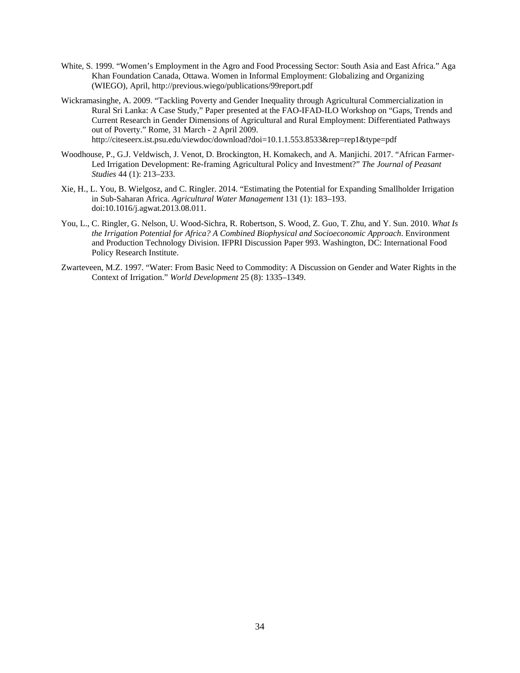- White, S. 1999. "Women's Employment in the Agro and Food Processing Sector: South Asia and East Africa." Aga Khan Foundation Canada, Ottawa. Women in Informal Employment: Globalizing and Organizing (WIEGO), April,<http://previous.wiego/publications/99report.pdf>
- Wickramasinghe, A. 2009. "Tackling Poverty and Gender Inequality through Agricultural Commercialization in Rural Sri Lanka: A Case Study," Paper presented at the FAO-IFAD-ILO Workshop on "Gaps, Trends and Current Research in Gender Dimensions of Agricultural and Rural Employment: Differentiated Pathways out of Poverty." Rome, 31 March - 2 April 2009. http://citeseerx.ist.psu.edu/viewdoc/download?doi=10.1.1.553.8533&rep=rep1&type=pdf
- Woodhouse, P., G.J. Veldwisch, J. Venot, D. Brockington, H. Komakech, and A. Manjichi. 2017. "African Farmer-Led Irrigation Development: Re-framing Agricultural Policy and Investment?" *The Journal of Peasant Studies* 44 (1): 213–233.
- Xie, H., L. You, B. Wielgosz, and C. Ringler. 2014. "Estimating the Potential for Expanding Smallholder Irrigation in Sub-Saharan Africa. *Agricultural Water Management* 131 (1): 183–193. doi:10.1016/j.agwat.2013.08.011.
- You, L., C. Ringler, G. Nelson, U. Wood-Sichra, R. Robertson, S. Wood, Z. Guo, T. Zhu, and Y. Sun. 2010. *What Is the Irrigation Potential for Africa? A Combined Biophysical and Socioeconomic Approach*. Environment and Production Technology Division. IFPRI Discussion Paper 993. Washington, DC: International Food Policy Research Institute.
- Zwarteveen, M.Z. 1997. "Water: From Basic Need to Commodity: A Discussion on Gender and Water Rights in the Context of Irrigation." *World Development* 25 (8): 1335–1349.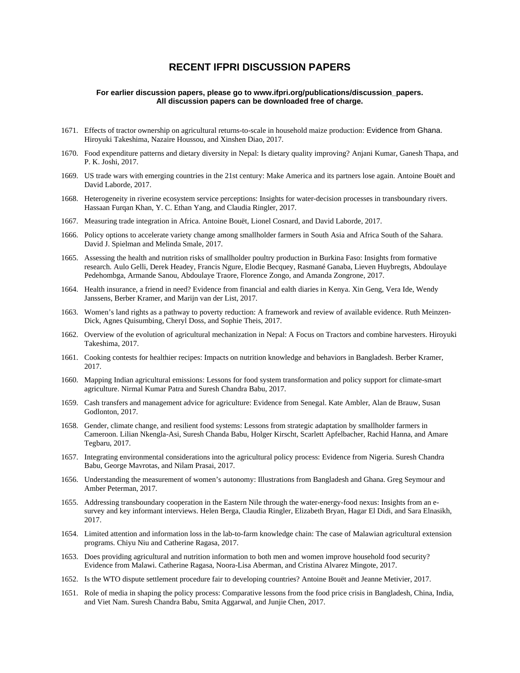#### **RECENT IFPRI DISCUSSION PAPERS**

#### **For earlier discussion papers, please go to [www.ifpri.org/publications/discussion\\_papers.](http://www.ifpri.org/publications?sort_by=ds_year&f%5B0%5D=sm_content_subtype_to_terms%3A88) All discussion papers can be downloaded free of charge.**

- 1671. Effects of tractor ownership on agricultural returns-to-scale in household maize production: Evidence from Ghana. Hiroyuki Takeshima, Nazaire Houssou, and Xinshen Diao, 2017.
- 1670. Food expenditure patterns and dietary diversity in Nepal: Is dietary quality improving? Anjani Kumar, Ganesh Thapa, and P. K. Joshi, 2017.
- 1669. US trade wars with emerging countries in the 21st century: Make America and its partners lose again. Antoine Bouët and David Laborde, 2017.
- 1668. Heterogeneity in riverine ecosystem service perceptions: Insights for water-decision processes in transboundary rivers. Hassaan Furqan Khan, Y. C. Ethan Yang, and Claudia Ringler, 2017.
- 1667. Measuring trade integration in Africa. Antoine Bouët, Lionel Cosnard, and David Laborde, 2017.
- 1666. Policy options to accelerate variety change among smallholder farmers in South Asia and Africa South of the Sahara. David J. Spielman and Melinda Smale, 2017.
- 1665. Assessing the health and nutrition risks of smallholder poultry production in Burkina Faso: Insights from formative research. Aulo Gelli, Derek Headey, Francis Ngure, Elodie Becquey, Rasmané Ganaba, Lieven Huybregts, Abdoulaye Pedehombga, Armande Sanou, Abdoulaye Traore, Florence Zongo, and Amanda Zongrone, 2017.
- 1664. Health insurance, a friend in need? Evidence from financial and ealth diaries in Kenya. Xin Geng, Vera Ide, Wendy Janssens, Berber Kramer, and Marijn van der List, 2017.
- 1663. Women's land rights as a pathway to poverty reduction: A framework and review of available evidence. Ruth Meinzen-Dick, Agnes Quisumbing, Cheryl Doss, and Sophie Theis, 2017.
- 1662. Overview of the evolution of agricultural mechanization in Nepal: A Focus on Tractors and combine harvesters. Hiroyuki Takeshima, 2017.
- 1661. Cooking contests for healthier recipes: Impacts on nutrition knowledge and behaviors in Bangladesh. Berber Kramer, 2017.
- 1660. Mapping Indian agricultural emissions: Lessons for food system transformation and policy support for climate-smart agriculture. Nirmal Kumar Patra and Suresh Chandra Babu, 2017.
- 1659. Cash transfers and management advice for agriculture: Evidence from Senegal. Kate Ambler, Alan de Brauw, Susan Godlonton, 2017.
- 1658. Gender, climate change, and resilient food systems: Lessons from strategic adaptation by smallholder farmers in Cameroon. Lilian Nkengla-Asi, Suresh Chanda Babu, Holger Kirscht, Scarlett Apfelbacher, Rachid Hanna, and Amare Tegbaru, 2017.
- 1657. Integrating environmental considerations into the agricultural policy process: Evidence from Nigeria. Suresh Chandra Babu, George Mavrotas, and Nilam Prasai, 2017.
- 1656. Understanding the measurement of women's autonomy: Illustrations from Bangladesh and Ghana. Greg Seymour and Amber Peterman, 2017.
- 1655. Addressing transboundary cooperation in the Eastern Nile through the water-energy-food nexus: Insights from an esurvey and key informant interviews. Helen Berga, Claudia Ringler, Elizabeth Bryan, Hagar El Didi, and Sara Elnasikh, 2017.
- 1654. Limited attention and information loss in the lab-to-farm knowledge chain: The case of Malawian agricultural extension programs. Chiyu Niu and Catherine Ragasa, 2017.
- 1653. Does providing agricultural and nutrition information to both men and women improve household food security? Evidence from Malawi. Catherine Ragasa, Noora-Lisa Aberman, and Cristina Alvarez Mingote, 2017.
- 1652. Is the WTO dispute settlement procedure fair to developing countries? Antoine Bouët and Jeanne Metivier, 2017.
- 1651. Role of media in shaping the policy process: Comparative lessons from the food price crisis in Bangladesh, China, India, and Viet Nam. Suresh Chandra Babu, Smita Aggarwal, and Junjie Chen, 2017.